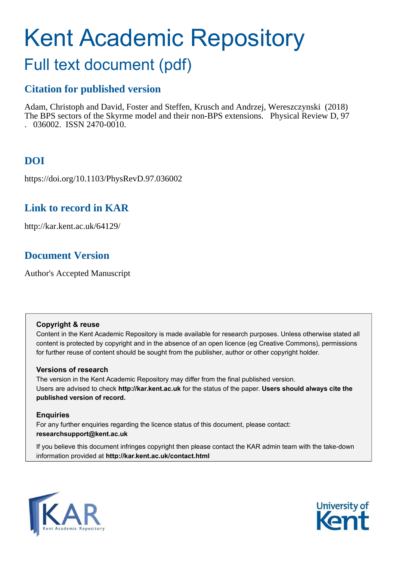# Kent Academic Repository

# Full text document (pdf)

# **Citation for published version**

Adam, Christoph and David, Foster and Steffen, Krusch and Andrzej, Wereszczynski (2018) The BPS sectors of the Skyrme model and their non-BPS extensions. Physical Review D, 97  $. 036002.$  ISSN 2470-0010.

# **DOI**

https://doi.org/10.1103/PhysRevD.97.036002

# **Link to record in KAR**

http://kar.kent.ac.uk/64129/

# **Document Version**

Author's Accepted Manuscript

## **Copyright & reuse**

Content in the Kent Academic Repository is made available for research purposes. Unless otherwise stated all content is protected by copyright and in the absence of an open licence (eg Creative Commons), permissions for further reuse of content should be sought from the publisher, author or other copyright holder.

## **Versions of research**

The version in the Kent Academic Repository may differ from the final published version. Users are advised to check **http://kar.kent.ac.uk** for the status of the paper. **Users should always cite the published version of record.**

## **Enquiries**

For any further enquiries regarding the licence status of this document, please contact: **researchsupport@kent.ac.uk**

If you believe this document infringes copyright then please contact the KAR admin team with the take-down information provided at **http://kar.kent.ac.uk/contact.html**



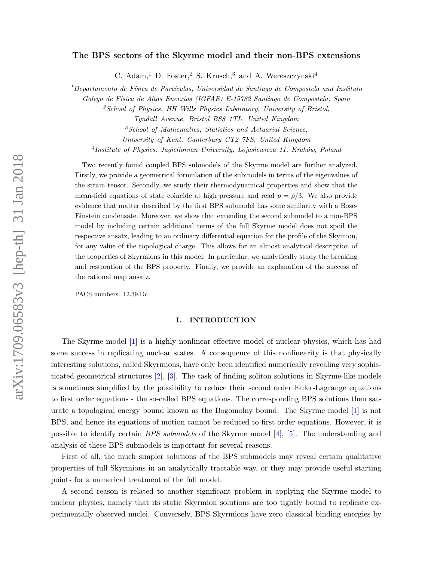#### The BPS sectors of the Skyrme model and their non-BPS extensions

C. Adam,<sup>1</sup> D. Foster,<sup>2</sup> S. Krusch,<sup>3</sup> and A. Wereszczynski<sup>4</sup>

<sup>1</sup>Departamento de Física de Partículas, Universidad de Santiago de Compostela and Instituto

Galego de Física de Altas Enerxias (IGFAE) E-15782 Santiago de Compostela, Spain

<sup>2</sup>School of Physics, HH Wills Physics Laboratory, University of Bristol,

Tyndall Avenue, Bristol BS8 1TL, United Kingdom

 ${}^{3}S$ chool of Mathematics, Statistics and Actuarial Science,

University of Kent, Canterbury CT2 7FS, United Kingdom

<sup>4</sup>Institute of Physics, Jagiellonian University, Lojasiewicza 11, Kraków, Poland

Two recently found coupled BPS submodels of the Skyrme model are further analyzed. Firstly, we provide a geometrical formulation of the submodels in terms of the eigenvalues of the strain tensor. Secondly, we study their thermodynamical properties and show that the mean-field equations of state coincide at high pressure and read  $p = \bar{p}/3$ . We also provide evidence that matter described by the first BPS submodel has some similarity with a Bose-Einstein condensate. Moreover, we show that extending the second submodel to a non-BPS model by including certain additional terms of the full Skyrme model does not spoil the respective ansatz, leading to an ordinary differential equation for the profile of the Skymion, for any value of the topological charge. This allows for an almost analytical description of the properties of Skyrmions in this model. In particular, we analytically study the breaking and restoration of the BPS property. Finally, we provide an explanation of the success of the rational map ansatz.

PACS numbers: 12.39.Dc

#### I. INTRODUCTION

The Skyrme model [\[1\]](#page-25-0) is a highly nonlinear effective model of nuclear physics, which has had some success in replicating nuclear states. A consequence of this nonlinearity is that physically interesting solutions, called Skyrmions, have only been identified numerically revealing very sophisticated geometrical structures [\[2\]](#page-25-1), [\[3\]](#page-25-2). The task of finding soliton solutions in Skyrme-like models is sometimes simplified by the possibility to reduce their second order Euler-Lagrange equations to first order equations - the so-called BPS equations. The corresponding BPS solutions then saturate a topological energy bound known as the Bogomolny bound. The Skyrme model [\[1\]](#page-25-0) is not BPS, and hence its equations of motion cannot be reduced to first order equations. However, it is possible to identify certain *BPS submodels* of the Skyrme model  $[4]$ ,  $[5]$ . The understanding and analysis of these BPS submodels is important for several reasons.

<span id="page-1-1"></span><span id="page-1-0"></span>First of all, the much simpler solutions of the BPS submodels may reveal certain qualitative properties of full Skyrmions in an analytically tractable way, or they may provide useful starting points for a numerical treatment of the full model.

A second reason is related to another significant problem in applying the Skyrme model to nuclear physics, namely that its static Skyrmion solutions are too tightly bound to replicate experimentally observed nuclei. Conversely, BPS Skyrmions have zero classical binding energies by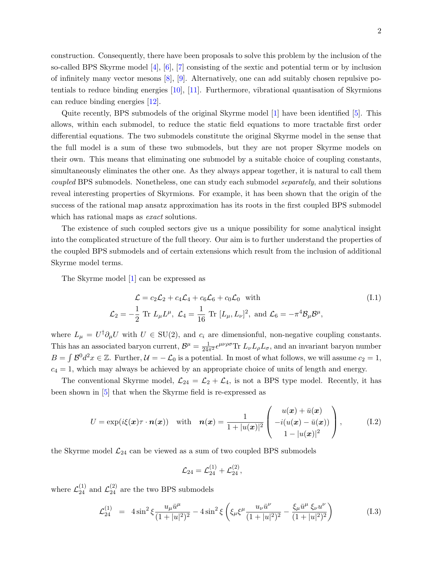2

construction. Consequently, there have been proposals to solve this problem by the inclusion of the so-called BPS Skyrme model  $[4]$ ,  $[6]$ ,  $[7]$  consisting of the sextic and potential term or by inclusion of infinitely many vector mesons [\[8\]](#page-25-7), [\[9\]](#page-25-8). Alternatively, one can add suitably chosen repulsive potentials to reduce binding energies [\[10\]](#page-25-9), [\[11\]](#page-25-10). Furthermore, vibrational quantisation of Skyrmions can reduce binding energies [\[12\]](#page-25-11).

<span id="page-2-2"></span>Quite recently, BPS submodels of the original Skyrme model [\[1\]](#page-25-0) have been identified [\[5\]](#page-25-4). This allows, within each submodel, to reduce the static field equations to more tractable first order differential equations. The two submodels constitute the original Skyrme model in the sense that the full model is a sum of these two submodels, but they are not proper Skyrme models on their own. This means that eliminating one submodel by a suitable choice of coupling constants, simultaneously eliminates the other one. As they always appear together, it is natural to call them coupled BPS submodels. Nonetheless, one can study each submodel separately, and their solutions reveal interesting properties of Skyrmions. For example, it has been shown that the origin of the success of the rational map ansatz approximation has its roots in the first coupled BPS submodel which has rational maps as *exact* solutions.

<span id="page-2-1"></span>The existence of such coupled sectors give us a unique possibility for some analytical insight into the complicated structure of the full theory. Our aim is to further understand the properties of the coupled BPS submodels and of certain extensions which result from the inclusion of additional Skyrme model terms.

The Skyrme model [\[1\]](#page-25-0) can be expressed as

<span id="page-2-3"></span><span id="page-2-0"></span>
$$
\mathcal{L} = c_2 \mathcal{L}_2 + c_4 \mathcal{L}_4 + c_6 \mathcal{L}_6 + c_0 \mathcal{L}_0 \quad \text{with}
$$
\n
$$
\mathcal{L}_2 = -\frac{1}{2} \text{ Tr } L_\mu L^\mu, \ \mathcal{L}_4 = \frac{1}{16} \text{ Tr } [L_\mu, L_\nu]^2, \text{ and } \mathcal{L}_6 = -\pi^4 \mathcal{B}_\mu \mathcal{B}^\mu,
$$
\n(I.1)

where  $L_{\mu} = U^{\dagger} \partial_{\mu} U$  with  $U \in SU(2)$ , and  $c_i$  are dimensionful, non-negative coupling constants. This has an associated baryon current,  $\mathcal{B}^{\mu} = \frac{1}{24\pi^2} \epsilon^{\mu\nu\rho\sigma} \text{Tr } L_{\nu} L_{\rho} L_{\sigma}$ , and an invariant baryon number  $B = \int \mathcal{B}^0 d^2x \in \mathbb{Z}$ . Further,  $\mathcal{U} = -\mathcal{L}_0$  is a potential. In most of what follows, we will assume  $c_2 = 1$ ,  $c_4 = 1$ , which may always be achieved by an appropriate choice of units of length and energy.

The conventional Skyrme model,  $\mathcal{L}_{24} = \mathcal{L}_2 + \mathcal{L}_4$ , is not a BPS type model. Recently, it has been shown in [\[5\]](#page-25-4) that when the Skyrme field is re-expressed as

$$
U = \exp(i\xi(\boldsymbol{x})\tau \cdot \boldsymbol{n}(\boldsymbol{x})) \quad \text{with} \quad \boldsymbol{n}(\boldsymbol{x}) = \frac{1}{1+|u(\boldsymbol{x})|^2} \begin{pmatrix} u(\boldsymbol{x}) + \bar{u}(\boldsymbol{x}) \\ -i(u(\boldsymbol{x}) - \bar{u}(\boldsymbol{x})) \\ 1-|u(\boldsymbol{x})|^2 \end{pmatrix}, \tag{I.2}
$$

the Skyrme model  $\mathcal{L}_{24}$  can be viewed as a sum of two coupled BPS submodels

$$
\mathcal{L}_{24}=\mathcal{L}_{24}^{(1)}+\mathcal{L}_{24}^{(2)},
$$

where  $\mathcal{L}_{24}^{(1)}$  and  $\mathcal{L}_{24}^{(2)}$  are the two BPS submodels

$$
\mathcal{L}_{24}^{(1)} = 4\sin^2\xi \frac{u_\mu \bar{u}^\mu}{(1+|u|^2)^2} - 4\sin^2\xi \left(\xi_\mu \xi^\mu \frac{u_\nu \bar{u}^\nu}{(1+|u|^2)^2} - \frac{\xi_\mu \bar{u}^\mu \xi_\nu u^\nu}{(1+|u|^2)^2}\right) \tag{I.3}
$$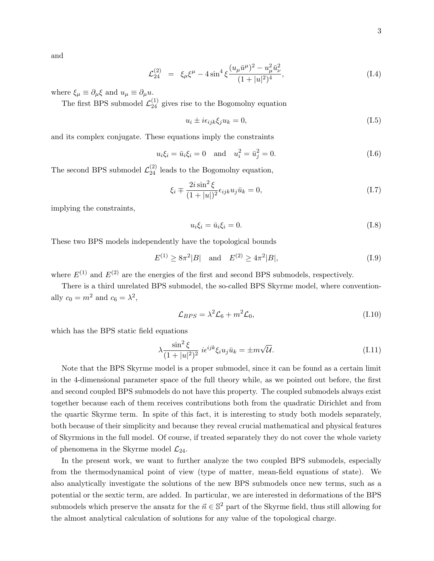and

$$
\mathcal{L}_{24}^{(2)} = \xi_{\mu} \xi^{\mu} - 4 \sin^4 \xi \frac{(u_{\mu} \bar{u}^{\mu})^2 - u_{\mu}^2 \bar{u}_{\nu}^2}{(1 + |u|^2)^4},
$$
\n(I.4)

where  $\xi_{\mu} \equiv \partial_{\mu} \xi$  and  $u_{\mu} \equiv \partial_{\mu} u$ .

The first BPS submodel  $\mathcal{L}_{24}^{(1)}$  gives rise to the Bogomolny equation

$$
u_i \pm i\epsilon_{ijk}\xi_j u_k = 0,\t\t(1.5)
$$

and its complex conjugate. These equations imply the constraints

$$
u_i \xi_i = \bar{u}_i \xi_i = 0
$$
 and  $u_i^2 = \bar{u}_j^2 = 0.$  (I.6)

The second BPS submodel  $\mathcal{L}_{24}^{(2)}$  leads to the Bogomolny equation,

$$
\xi_i \mp \frac{2i\sin^2 \xi}{(1+|u|)^2} \epsilon_{ijk} u_j \bar{u}_k = 0,\tag{I.7}
$$

implying the constraints,

$$
u_i \xi_i = \bar{u}_i \xi_i = 0. \tag{I.8}
$$

These two BPS models independently have the topological bounds

$$
E^{(1)} \ge 8\pi^2|B| \quad \text{and} \quad E^{(2)} \ge 4\pi^2|B|,\tag{I.9}
$$

where  $E^{(1)}$  and  $E^{(2)}$  are the energies of the first and second BPS submodels, respectively.

There is a third unrelated BPS submodel, the so-called BPS Skyrme model, where conventionally  $c_0 = m^2$  and  $c_6 = \lambda^2$ ,

$$
\mathcal{L}_{BPS} = \lambda^2 \mathcal{L}_6 + m^2 \mathcal{L}_0,\tag{I.10}
$$

which has the BPS static field equations

<span id="page-3-0"></span>
$$
\lambda \frac{\sin^2 \xi}{(1+|u|^2)^2} i\epsilon^{ijk} \xi_i u_j \bar{u}_k = \pm m\sqrt{\mathcal{U}}.\tag{I.11}
$$

Note that the BPS Skyrme model is a proper submodel, since it can be found as a certain limit in the 4-dimensional parameter space of the full theory while, as we pointed out before, the first and second coupled BPS submodels do not have this property. The coupled submodels always exist together because each of them receives contributions both from the quadratic Dirichlet and from the quartic Skyrme term. In spite of this fact, it is interesting to study both models separately, both because of their simplicity and because they reveal crucial mathematical and physical features of Skyrmions in the full model. Of course, if treated separately they do not cover the whole variety of phenomena in the Skyrme model  $\mathcal{L}_{24}$ .

In the present work, we want to further analyze the two coupled BPS submodels, especially from the thermodynamical point of view (type of matter, mean-field equations of state). We also analytically investigate the solutions of the new BPS submodels once new terms, such as a potential or the sextic term, are added. In particular, we are interested in deformations of the BPS submodels which preserve the ansatz for the  $\vec{n} \in \mathbb{S}^2$  part of the Skyrme field, thus still allowing for the almost analytical calculation of solutions for any value of the topological charge.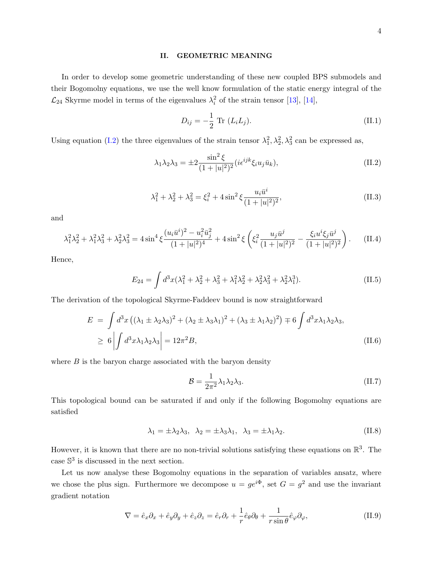#### II. GEOMETRIC MEANING

In order to develop some geometric understanding of these new coupled BPS submodels and their Bogomolny equations, we use the well know formulation of the static energy integral of the  $\mathcal{L}_{24}$  Skyrme model in terms of the eigenvalues  $\lambda_i^2$  of the strain tensor [\[13\]](#page-25-12), [\[14\]](#page-25-13),

$$
D_{ij} = -\frac{1}{2} \text{ Tr } (L_i L_j). \tag{II.1}
$$

Using equation [\(I.2\)](#page-1-0) the three eigenvalues of the strain tensor  $\lambda_1^2, \lambda_2^2, \lambda_3^2$  can be expressed as,

$$
\lambda_1 \lambda_2 \lambda_3 = \pm 2 \frac{\sin^2 \xi}{(1+|u|^2)^2} (i \epsilon^{ijk} \xi_i u_j \bar{u}_k), \tag{II.2}
$$

<span id="page-4-0"></span>
$$
\lambda_1^2 + \lambda_2^2 + \lambda_3^2 = \xi_i^2 + 4\sin^2\xi \frac{u_i \bar{u}^i}{(1+|u|^2)^2},
$$
\n(II.3)

and

$$
\lambda_1^2 \lambda_2^2 + \lambda_1^2 \lambda_3^2 + \lambda_2^2 \lambda_3^2 = 4 \sin^4 \xi \frac{(u_i \bar{u}^i)^2 - u_i^2 \bar{u}_j^2}{(1+|u|^2)^4} + 4 \sin^2 \xi \left(\xi_i^2 \frac{u_j \bar{u}^j}{(1+|u|^2)^2} - \frac{\xi_i u^i \xi_j \bar{u}^j}{(1+|u|^2)^2}\right). \tag{II.4}
$$

Hence,

$$
E_{24} = \int d^3x (\lambda_1^2 + \lambda_2^2 + \lambda_3^2 + \lambda_1^2 \lambda_2^2 + \lambda_2^2 \lambda_3^2 + \lambda_2^2 \lambda_1^3). \tag{II.5}
$$

The derivation of the topological Skyrme-Faddeev bound is now straightforward

$$
E = \int d^3x \left( (\lambda_1 \pm \lambda_2 \lambda_3)^2 + (\lambda_2 \pm \lambda_3 \lambda_1)^2 + (\lambda_3 \pm \lambda_1 \lambda_2)^2 \right) \mp 6 \int d^3x \lambda_1 \lambda_2 \lambda_3,
$$
  
\n
$$
\geq 6 \left| \int d^3x \lambda_1 \lambda_2 \lambda_3 \right| = 12\pi^2 B,
$$
 (II.6)

where  $B$  is the baryon charge associated with the baryon density

$$
\mathcal{B} = \frac{1}{2\pi^2} \lambda_1 \lambda_2 \lambda_3. \tag{II.7}
$$

This topological bound can be saturated if and only if the following Bogomolny equations are satisfied

$$
\lambda_1 = \pm \lambda_2 \lambda_3, \quad \lambda_2 = \pm \lambda_3 \lambda_1, \quad \lambda_3 = \pm \lambda_1 \lambda_2. \tag{II.8}
$$

However, it is known that there are no non-trivial solutions satisfying these equations on  $\mathbb{R}^3$ . The case  $\mathbb{S}^3$  is discussed in the next section.

Let us now analyse these Bogomolny equations in the separation of variables ansatz, where we chose the plus sign. Furthermore we decompose  $u = ge^{i\Phi}$ , set  $G = g^2$  and use the invariant gradient notation

$$
\nabla = \hat{e}_x \partial_x + \hat{e}_y \partial_y + \hat{e}_z \partial_z = \hat{e}_r \partial_r + \frac{1}{r} \hat{e}_\theta \partial_\theta + \frac{1}{r \sin \theta} \hat{e}_\varphi \partial_\varphi, \tag{II.9}
$$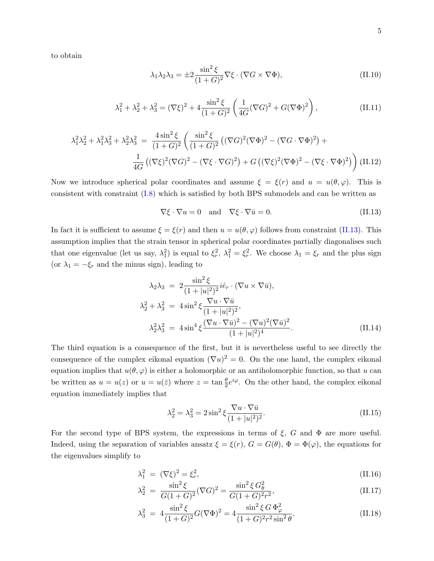to obtain

$$
\lambda_1 \lambda_2 \lambda_3 = \pm 2 \frac{\sin^2 \xi}{(1+G)^2} \nabla \xi \cdot (\nabla G \times \nabla \Phi), \tag{II.10}
$$

$$
\lambda_1^2 + \lambda_2^2 + \lambda_3^2 = (\nabla \xi)^2 + 4 \frac{\sin^2 \xi}{(1+G)^2} \left( \frac{1}{4G} (\nabla G)^2 + G(\nabla \Phi)^2 \right),
$$
 (II.11)

$$
\lambda_1^2 \lambda_2^2 + \lambda_1^2 \lambda_3^2 + \lambda_2^2 \lambda_3^2 = \frac{4 \sin^2 \xi}{(1+G)^2} \left( \frac{\sin^2 \xi}{(1+G)^2} \left( (\nabla G)^2 (\nabla \Phi)^2 - (\nabla G \cdot \nabla \Phi)^2 \right) + \frac{1}{4G} \left( (\nabla \xi)^2 (\nabla G)^2 - (\nabla \xi \cdot \nabla G)^2 \right) + G \left( (\nabla \xi)^2 (\nabla \Phi)^2 - (\nabla \xi \cdot \nabla \Phi)^2 \right) \right)
$$
(II.12)

Now we introduce spherical polar coordinates and assume  $\xi = \xi(r)$  and  $u = u(\theta, \varphi)$ . This is consistent with constraint [\(I.8\)](#page-2-0) which is satisfied by both BPS submodels and can be written as

$$
\nabla \xi \cdot \nabla u = 0 \quad \text{and} \quad \nabla \xi \cdot \nabla \bar{u} = 0. \tag{II.13}
$$

In fact it is sufficient to assume  $\xi = \xi(r)$  and then  $u = u(\theta, \varphi)$  follows from constraint [\(II.13\)](#page-4-0). This assumption implies that the strain tensor in spherical polar coordinates partially diagonalises such that one eigenvalue (let us say,  $\lambda_1^2$ ) is equal to  $\xi_r^2$ ,  $\lambda_1^2 = \xi_r^2$ . We choose  $\lambda_1 = \xi_r$  and the plus sign (or  $\lambda_1 = -\xi_r$  and the minus sign), leading to

$$
\lambda_2 \lambda_3 = 2 \frac{\sin^2 \xi}{(1+|u|^2)^2} i \hat{e}_r \cdot (\nabla u \times \nabla \bar{u}),
$$
  
\n
$$
\lambda_2^2 + \lambda_3^2 = 4 \sin^2 \xi \frac{\nabla u \cdot \nabla \bar{u}}{(1+|u|^2)^2},
$$
  
\n
$$
\lambda_2^2 \lambda_3^2 = 4 \sin^4 \xi \frac{(\nabla u \cdot \nabla \bar{u})^2 - (\nabla u)^2 (\nabla \bar{u})^2}{(1+|u|^2)^4}.
$$
\n(II.14)

The third equation is a consequence of the first, but it is nevertheless useful to see directly the consequence of the complex eikonal equation  $(\nabla u)^2 = 0$ . On the one hand, the complex eikonal equation implies that  $u(\theta, \varphi)$  is either a holomorphic or an antiholomorphic function, so that u can be written as  $u = u(z)$  or  $u = u(\bar{z})$  where  $z = \tan \frac{\theta}{2} e^{i\varphi}$ . On the other hand, the complex eikonal equation immediately implies that

$$
\lambda_2^2 = \lambda_3^2 = 2\sin^2 \xi \frac{\nabla u \cdot \nabla \bar{u}}{(1+|u|^2)^2}.
$$
 (II.15)

For the second type of BPS system, the expressions in terms of  $\xi$ , G and  $\Phi$  are more useful. Indeed, using the separation of variables ansatz  $\xi = \xi(r)$ ,  $G = G(\theta)$ ,  $\Phi = \Phi(\varphi)$ , the equations for the eigenvalues simplify to

$$
\lambda_1^2 = (\nabla \xi)^2 = \xi_r^2,
$$
\n(II.16)

$$
\lambda_2^2 = \frac{\sin^2 \xi}{G(1+G)^2} (\nabla G)^2 = \frac{\sin^2 \xi G_\theta^2}{G(1+G)^2 r^2},
$$
\n(II.17)

$$
\lambda_3^2 = 4 \frac{\sin^2 \xi}{(1+G)^2} G(\nabla \Phi)^2 = 4 \frac{\sin^2 \xi G \Phi^2_{\varphi}}{(1+G)^2 r^2 \sin^2 \theta}.
$$
 (II.18)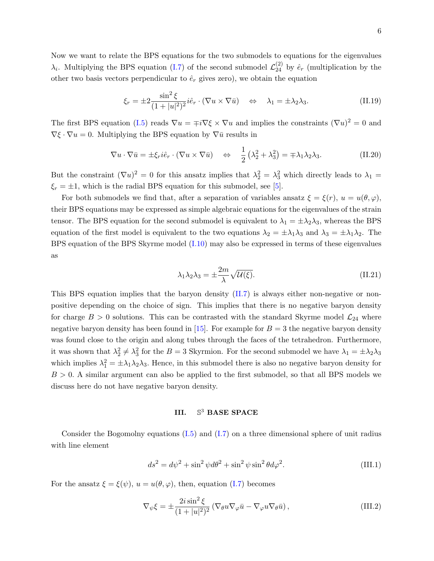Now we want to relate the BPS equations for the two submodels to equations for the eigenvalues  $\lambda_i$ . Multiplying the BPS equation [\(I.7\)](#page-2-1) of the second submodel  $\mathcal{L}_{24}^{(2)}$  by  $\hat{e}_r$  (multiplication by the other two basis vectors perpendicular to  $\hat{e}_r$  gives zero), we obtain the equation

<span id="page-6-0"></span>
$$
\xi_r = \pm 2 \frac{\sin^2 \xi}{(1+|u|^2)^2} i \hat{e}_r \cdot (\nabla u \times \nabla \bar{u}) \quad \Leftrightarrow \quad \lambda_1 = \pm \lambda_2 \lambda_3. \tag{II.19}
$$

The first BPS equation [\(I.5\)](#page-2-2) reads  $\nabla u = \mp i \nabla \xi \times \nabla u$  and implies the constraints  $(\nabla u)^2 = 0$  and  $\nabla \xi \cdot \nabla u = 0$ . Multiplying the BPS equation by  $\nabla \bar{u}$  results in

$$
\nabla u \cdot \nabla \bar{u} = \pm \xi_r i \hat{e}_r \cdot (\nabla u \times \nabla \bar{u}) \quad \Leftrightarrow \quad \frac{1}{2} \left( \lambda_2^2 + \lambda_3^2 \right) = \mp \lambda_1 \lambda_2 \lambda_3. \tag{II.20}
$$

But the constraint  $(\nabla u)^2 = 0$  for this ansatz implies that  $\lambda_2^2 = \lambda_3^2$  which directly leads to  $\lambda_1 =$  $\xi_r = \pm 1$ , which is the radial BPS equation for this submodel, see [\[5\]](#page-25-4).

For both submodels we find that, after a separation of variables ansatz  $\xi = \xi(r)$ ,  $u = u(\theta, \varphi)$ , their BPS equations may be expressed as simple algebraic equations for the eigenvalues of the strain tensor. The BPS equation for the second submodel is equivalent to  $\lambda_1 = \pm \lambda_2 \lambda_3$ , whereas the BPS equation of the first model is equivalent to the two equations  $\lambda_2 = \pm \lambda_1 \lambda_3$  and  $\lambda_3 = \pm \lambda_1 \lambda_2$ . The BPS equation of the BPS Skyrme model [\(I.10\)](#page-2-3) may also be expressed in terms of these eigenvalues as

$$
\lambda_1 \lambda_2 \lambda_3 = \pm \frac{2m}{\lambda} \sqrt{\mathcal{U}(\xi)}.
$$
 (II.21)

This BPS equation implies that the baryon density [\(II.7\)](#page-3-0) is always either non-negative or nonpositive depending on the choice of sign. This implies that there is no negative baryon density for charge  $B > 0$  solutions. This can be contrasted with the standard Skyrme model  $\mathcal{L}_{24}$  where negative baryon density has been found in [\[15\]](#page-25-14). For example for  $B = 3$  the negative baryon density was found close to the origin and along tubes through the faces of the tetrahedron. Furthermore, it was shown that  $\lambda_2^2 \neq \lambda_3^2$  for the  $B = 3$  Skyrmion. For the second submodel we have  $\lambda_1 = \pm \lambda_2 \lambda_3$ which implies  $\lambda_1^2 = \pm \lambda_1 \lambda_2 \lambda_3$ . Hence, in this submodel there is also no negative baryon density for  $B > 0$ . A similar argument can also be applied to the first submodel, so that all BPS models we discuss here do not have negative baryon density.

#### III.  $\mathbb{S}^3$ BASE SPACE

Consider the Bogomolny equations  $(I.5)$  and  $(I.7)$  on a three dimensional sphere of unit radius with line element

$$
ds^{2} = d\psi^{2} + \sin^{2}\psi d\theta^{2} + \sin^{2}\psi \sin^{2}\theta d\varphi^{2}.
$$
 (III.1)

For the ansatz  $\xi = \xi(\psi)$ ,  $u = u(\theta, \varphi)$ , then, equation [\(I.7\)](#page-2-1) becomes

$$
\nabla_{\psi}\xi = \pm \frac{2i\sin^2\xi}{(1+|u|^2)^2} \left(\nabla_{\theta}u\nabla_{\varphi}\bar{u} - \nabla_{\varphi}u\nabla_{\theta}\bar{u}\right),\tag{III.2}
$$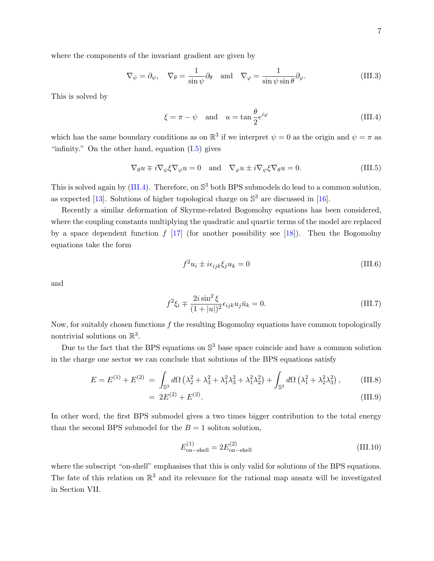where the components of the invariant gradient are given by

$$
\nabla_{\psi} = \partial_{\psi}, \quad \nabla_{\theta} = \frac{1}{\sin \psi} \partial_{\theta} \quad \text{and} \quad \nabla_{\varphi} = \frac{1}{\sin \psi \sin \theta} \partial_{\varphi}.
$$
 (III.3)

This is solved by

$$
\xi = \pi - \psi \quad \text{and} \quad u = \tan \frac{\theta}{2} e^{i\varphi} \tag{III.4}
$$

which has the same boundary conditions as on  $\mathbb{R}^3$  if we interpret  $\psi = 0$  as the origin and  $\psi = \pi$  as "infinity." On the other hand, equation  $(I.5)$  gives

$$
\nabla_{\theta} u \mp i \nabla_{\psi} \xi \nabla_{\varphi} u = 0 \quad \text{and} \quad \nabla_{\varphi} u \pm i \nabla_{\psi} \xi \nabla_{\theta} u = 0. \tag{III.5}
$$

This is solved again by [\(III.4\)](#page-6-0). Therefore, on  $\mathbb{S}^3$  both BPS submodels do lead to a common solution, as expected [\[13\]](#page-25-12). Solutions of higher topological charge on  $\mathbb{S}^3$  are discussed in [\[16\]](#page-26-0).

Recently a similar deformation of Skyrme-related Bogomolny equations has been considered, where the coupling constants multiplying the quadratic and quartic terms of the model are replaced by a space dependent function  $f$  [\[17\]](#page-26-1) (for another possibility see [\[18\]](#page-26-2)). Then the Bogomolny equations take the form

<span id="page-7-2"></span>
$$
f^2 u_i \pm i \epsilon_{ijk} \xi_j u_k = 0 \tag{III.6}
$$

and

<span id="page-7-0"></span>
$$
f^{2}\xi_{i} \pm \frac{2i\sin^{2}\xi}{(1+|u|)^{2}} \epsilon_{ijk} u_{j} \bar{u}_{k} = 0.
$$
 (III.7)

Now, for suitably chosen functions  $f$  the resulting Bogomolny equations have common topologically nontrivial solutions on  $\mathbb{R}^3$ .

Due to the fact that the BPS equations on  $\mathbb{S}^3$  base space coincide and have a common solution in the charge one sector we can conclude that solutions of the BPS equations satisfy

$$
E = E^{(1)} + E^{(2)} = \int_{\mathbb{S}^3} d\Omega \left( \lambda_2^2 + \lambda_3^2 + \lambda_1^2 \lambda_3^2 + \lambda_1^2 \lambda_2^2 \right) + \int_{\mathbb{S}^3} d\Omega \left( \lambda_1^2 + \lambda_2^2 \lambda_3^2 \right), \tag{III.8}
$$

<span id="page-7-1"></span>
$$
= 2E^{(2)} + E^{(2)}.
$$
 (III.9)

In other word, the first BPS submodel gives a two times bigger contribution to the total energy than the second BPS submodel for the  $B = 1$  soliton solution,

$$
E_{\text{on-shell}}^{(1)} = 2E_{\text{on-shell}}^{(2)}
$$
 (III.10)

where the subscript "on-shell" emphasises that this is only valid for solutions of the BPS equations. The fate of this relation on  $\mathbb{R}^3$  and its relevance for the rational map ansatz will be investigated in Section VII.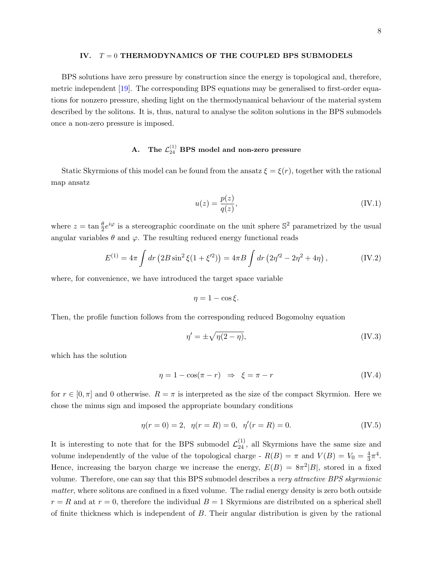#### IV.  $T = 0$  THERMODYNAMICS OF THE COUPLED BPS SUBMODELS

BPS solutions have zero pressure by construction since the energy is topological and, therefore, metric independent [\[19\]](#page-26-3). The corresponding BPS equations may be generalised to first-order equations for nonzero pressure, sheding light on the thermodynamical behaviour of the material system described by the solitons. It is, thus, natural to analyse the soliton solutions in the BPS submodels once a non-zero pressure is imposed.

# A. The  $\mathcal{L}_{24}^{(1)}$  BPS model and non-zero pressure

Static Skyrmions of this model can be found from the ansatz  $\xi = \xi(r)$ , together with the rational map ansatz

$$
u(z) = \frac{p(z)}{q(z)},\tag{IV.1}
$$

where  $z = \tan \frac{\theta}{2} e^{i\varphi}$  is a stereographic coordinate on the unit sphere  $\mathbb{S}^2$  parametrized by the usual angular variables  $\theta$  and  $\varphi$ . The resulting reduced energy functional reads

$$
E^{(1)} = 4\pi \int dr \left( 2B \sin^2 \xi (1 + \xi'^2) \right) = 4\pi B \int dr \left( 2\eta'^2 - 2\eta^2 + 4\eta \right), \tag{IV.2}
$$

where, for convenience, we have introduced the target space variable

$$
\eta = 1 - \cos \xi.
$$

Then, the profile function follows from the corresponding reduced Bogomolny equation

<span id="page-8-0"></span>
$$
\eta' = \pm \sqrt{\eta(2-\eta)},\tag{IV.3}
$$

which has the solution

$$
\eta = 1 - \cos(\pi - r) \Rightarrow \xi = \pi - r \tag{IV.4}
$$

for  $r \in [0, \pi]$  and 0 otherwise.  $R = \pi$  is interpreted as the size of the compact Skyrmion. Here we chose the minus sign and imposed the appropriate boundary conditions

<span id="page-8-1"></span>
$$
\eta(r=0) = 2, \ \eta(r=R) = 0, \ \eta'(r=R) = 0. \tag{IV.5}
$$

It is interesting to note that for the BPS submodel  $\mathcal{L}_{24}^{(1)}$ , all Skyrmions have the same size and volume independently of the value of the topological charge  $-R(B) = \pi$  and  $V(B) = V_0 = \frac{4}{3}$  $\frac{4}{3}\pi^4$ . Hence, increasing the baryon charge we increase the energy,  $E(B) = 8\pi^2|B|$ , stored in a fixed volume. Therefore, one can say that this BPS submodel describes a very attractive BPS skyrmionic matter, where solitons are confined in a fixed volume. The radial energy density is zero both outside  $r = R$  and at  $r = 0$ , therefore the individual  $B = 1$  Skyrmions are distributed on a spherical shell of finite thickness which is independent of  $B$ . Their angular distribution is given by the rational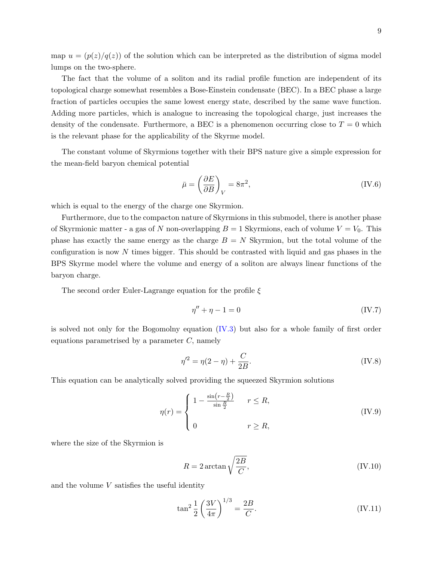9

map  $u = (p(z)/q(z))$  of the solution which can be interpreted as the distribution of sigma model lumps on the two-sphere.

The fact that the volume of a soliton and its radial profile function are independent of its topological charge somewhat resembles a Bose-Einstein condensate (BEC). In a BEC phase a large fraction of particles occupies the same lowest energy state, described by the same wave function. Adding more particles, which is analogue to increasing the topological charge, just increases the density of the condensate. Furthermore, a BEC is a phenomenon occurring close to  $T = 0$  which is the relevant phase for the applicability of the Skyrme model.

The constant volume of Skyrmions together with their BPS nature give a simple expression for the mean-field baryon chemical potential

$$
\bar{\mu} = \left(\frac{\partial E}{\partial B}\right)_V = 8\pi^2,\tag{IV.6}
$$

which is equal to the energy of the charge one Skyrmion.

Furthermore, due to the compacton nature of Skyrmions in this submodel, there is another phase of Skyrmionic matter - a gas of N non-overlapping  $B = 1$  Skyrmions, each of volume  $V = V_0$ . This phase has exactly the same energy as the charge  $B = N$  Skyrmion, but the total volume of the configuration is now N times bigger. This should be contrasted with liquid and gas phases in the BPS Skyrme model where the volume and energy of a soliton are always linear functions of the baryon charge.

The second order Euler-Lagrange equation for the profile  $\xi$ 

$$
\eta'' + \eta - 1 = 0 \tag{IV.7}
$$

is solved not only for the Bogomolny equation  $(V.3)$  but also for a whole family of first order equations parametrised by a parameter  $C$ , namely

$$
\eta'^2 = \eta(2 - \eta) + \frac{C}{2B}.\tag{IV.8}
$$

This equation can be analytically solved providing the squeezed Skyrmion solutions

$$
\eta(r) = \begin{cases} 1 - \frac{\sin\left(r - \frac{R}{2}\right)}{\sin\frac{R}{2}} & r \leq R, \\ 0 & r \geq R, \end{cases} \tag{IV.9}
$$

where the size of the Skyrmion is

$$
R = 2\arctan\sqrt{\frac{2B}{C}},\tag{IV.10}
$$

and the volume  $V$  satisfies the useful identity

$$
\tan^2 \frac{1}{2} \left( \frac{3V}{4\pi} \right)^{1/3} = \frac{2B}{C}.
$$
 (IV.11)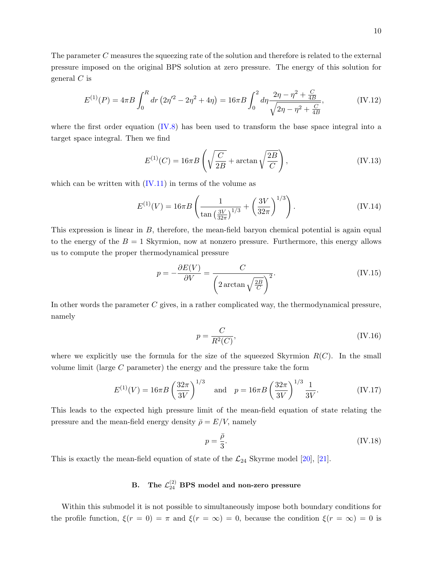The parameter C measures the squeezing rate of the solution and therefore is related to the external pressure imposed on the original BPS solution at zero pressure. The energy of this solution for general  $C$  is

$$
E^{(1)}(P) = 4\pi B \int_0^R dr \left(2\eta'^2 - 2\eta^2 + 4\eta\right) = 16\pi B \int_0^2 d\eta \frac{2\eta - \eta^2 + \frac{C}{4B}}{\sqrt{2\eta - \eta^2 + \frac{C}{4B}}},\tag{IV.12}
$$

where the first order equation  $(IV.8)$  has been used to transform the base space integral into a target space integral. Then we find

$$
E^{(1)}(C) = 16\pi B \left( \sqrt{\frac{C}{2B}} + \arctan\sqrt{\frac{2B}{C}} \right),\tag{IV.13}
$$

which can be written with  $(IV.11)$  in terms of the volume as

<span id="page-10-0"></span>
$$
E^{(1)}(V) = 16\pi B \left( \frac{1}{\tan\left(\frac{3V}{32\pi}\right)^{1/3}} + \left(\frac{3V}{32\pi}\right)^{1/3} \right). \tag{IV.14}
$$

This expression is linear in B, therefore, the mean-field baryon chemical potential is again equal to the energy of the  $B = 1$  Skyrmion, now at nonzero pressure. Furthermore, this energy allows us to compute the proper thermodynamical pressure

$$
p = -\frac{\partial E(V)}{\partial V} = \frac{C}{\left(2\arctan\sqrt{\frac{2B}{C}}\right)^2}.
$$
 (IV.15)

In other words the parameter  $C$  gives, in a rather complicated way, the thermodynamical pressure, namely

$$
p = \frac{C}{R^2(C)},
$$
\n(IV.16)

where we explicitly use the formula for the size of the squeezed Skyrmion  $R(C)$ . In the small volume limit (large C parameter) the energy and the pressure take the form

$$
E^{(1)}(V) = 16\pi B \left(\frac{32\pi}{3V}\right)^{1/3} \quad \text{and} \quad p = 16\pi B \left(\frac{32\pi}{3V}\right)^{1/3} \frac{1}{3V}.
$$
 (IV.17)

This leads to the expected high pressure limit of the mean-field equation of state relating the pressure and the mean-field energy density  $\bar{\rho} = E/V$ , namely

$$
p = \frac{\bar{\rho}}{3}.\tag{IV.18}
$$

This is exactly the mean-field equation of state of the  $\mathcal{L}_{24}$  Skyrme model [\[20\]](#page-26-4), [\[21\]](#page-26-5).

# B. The  $\mathcal{L}^{(2)}_{24}$  BPS model and non-zero pressure

Within this submodel it is not possible to simultaneously impose both boundary conditions for the profile function,  $\xi(r=0) = \pi$  and  $\xi(r=\infty) = 0$ , because the condition  $\xi(r=\infty) = 0$  is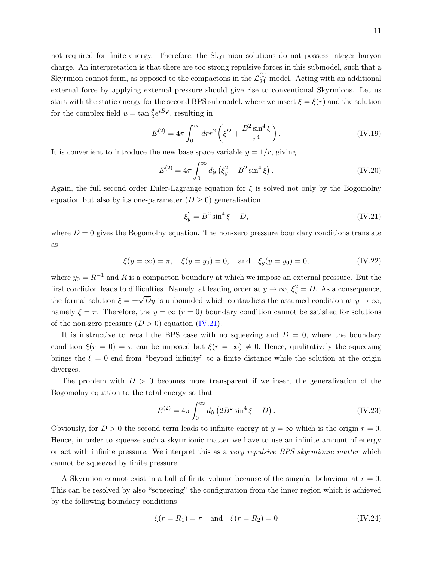not required for finite energy. Therefore, the Skyrmion solutions do not possess integer baryon charge. An interpretation is that there are too strong repulsive forces in this submodel, such that a Skyrmion cannot form, as opposed to the compactons in the  $\mathcal{L}_{24}^{(1)}$  model. Acting with an additional external force by applying external pressure should give rise to conventional Skyrmions. Let us start with the static energy for the second BPS submodel, where we insert  $\xi = \xi(r)$  and the solution for the complex field  $u = \tan \frac{\theta}{2} e^{iB\varphi}$ , resulting in

$$
E^{(2)} = 4\pi \int_0^\infty dr r^2 \left( \xi'^2 + \frac{B^2 \sin^4 \xi}{r^4} \right). \tag{IV.19}
$$

It is convenient to introduce the new base space variable  $y = 1/r$ , giving

$$
E^{(2)} = 4\pi \int_0^\infty dy \left(\xi_y^2 + B^2 \sin^4 \xi\right). \tag{IV.20}
$$

Again, the full second order Euler-Lagrange equation for  $\xi$  is solved not only by the Bogomolny equation but also by its one-parameter  $(D \geq 0)$  generalisation

$$
\xi_y^2 = B^2 \sin^4 \xi + D,\tag{IV.21}
$$

where  $D = 0$  gives the Bogomolny equation. The non-zero pressure boundary conditions translate as

$$
\xi(y = \infty) = \pi
$$
,  $\xi(y = y_0) = 0$ , and  $\xi_y(y = y_0) = 0$ , (IV.22)

where  $y_0 = R^{-1}$  and R is a compacton boundary at which we impose an external pressure. But the first condition leads to difficulties. Namely, at leading order at  $y \to \infty$ ,  $\xi_y^2 = D$ . As a consequence, the formal solution  $\xi = \pm \sqrt{D}y$  is unbounded which contradicts the assumed condition at  $y \to \infty$ , namely  $\xi = \pi$ . Therefore, the  $y = \infty$  ( $r = 0$ ) boundary condition cannot be satisfied for solutions of the non-zero pressure  $(D > 0)$  equation  $(IV.21)$ .

It is instructive to recall the BPS case with no squeezing and  $D = 0$ , where the boundary condition  $\xi(r=0) = \pi$  can be imposed but  $\xi(r=\infty) \neq 0$ . Hence, qualitatively the squeezing brings the  $\xi = 0$  end from "beyond infinity" to a finite distance while the solution at the origin diverges.

The problem with  $D > 0$  becomes more transparent if we insert the generalization of the Bogomolny equation to the total energy so that

$$
E^{(2)} = 4\pi \int_0^\infty dy \left( 2B^2 \sin^4 \xi + D \right). \tag{IV.23}
$$

Obviously, for  $D > 0$  the second term leads to infinite energy at  $y = \infty$  which is the origin  $r = 0$ . Hence, in order to squeeze such a skyrmionic matter we have to use an infinite amount of energy or act with infinite pressure. We interpret this as a very repulsive BPS skyrmionic matter which cannot be squeezed by finite pressure.

A Skyrmion cannot exist in a ball of finite volume because of the singular behaviour at  $r = 0$ . This can be resolved by also "squeezing" the configuration from the inner region which is achieved by the following boundary conditions

$$
\xi(r = R_1) = \pi
$$
 and  $\xi(r = R_2) = 0$  (IV.24)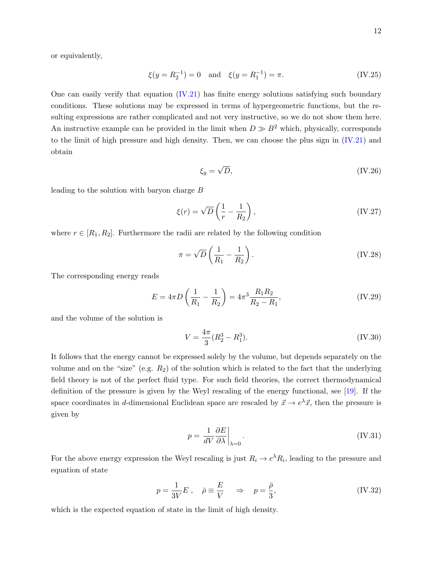or equivalently,

$$
\xi(y = R_2^{-1}) = 0
$$
 and  $\xi(y = R_1^{-1}) = \pi$ . (IV.25)

One can easily verify that equation [\(IV.21\)](#page-10-0) has finite energy solutions satisfying such boundary conditions. These solutions may be expressed in terms of hypergeometric functions, but the resulting expressions are rather complicated and not very instructive, so we do not show them here. An instructive example can be provided in the limit when  $D \gg B^2$  which, physically, corresponds to the limit of high pressure and high density. Then, we can choose the plus sign in [\(IV.21\)](#page-10-0) and obtain

$$
\xi_y = \sqrt{D},\tag{IV.26}
$$

leading to the solution with baryon charge B

$$
\xi(r) = \sqrt{D} \left( \frac{1}{r} - \frac{1}{R_2} \right),\tag{IV.27}
$$

where  $r \in [R_1, R_2]$ . Furthermore the radii are related by the following condition

$$
\pi = \sqrt{D} \left( \frac{1}{R_1} - \frac{1}{R_2} \right). \tag{IV.28}
$$

The corresponding energy reads

$$
E = 4\pi D \left(\frac{1}{R_1} - \frac{1}{R_2}\right) = 4\pi^3 \frac{R_1 R_2}{R_2 - R_1},
$$
 (IV.29)

and the volume of the solution is

$$
V = \frac{4\pi}{3}(R_2^3 - R_1^3). \tag{IV.30}
$$

It follows that the energy cannot be expressed solely by the volume, but depends separately on the volume and on the "size" (e.g.  $R_2$ ) of the solution which is related to the fact that the underlying field theory is not of the perfect fluid type. For such field theories, the correct thermodynamical definition of the pressure is given by the Weyl rescaling of the energy functional, see [\[19\]](#page-26-3). If the space coordinates in d-dimensional Euclidean space are rescaled by  $\vec{x} \to e^{\lambda} \vec{x}$ , then the pressure is given by

$$
p = \left. \frac{1}{dV} \frac{\partial E}{\partial \lambda} \right|_{\lambda = 0}.
$$
 (IV.31)

For the above energy expression the Weyl rescaling is just  $R_i \to e^{\lambda} R_i$ , leading to the pressure and equation of state

$$
p = \frac{1}{3V}E \ , \quad \bar{\rho} \equiv \frac{E}{V} \quad \Rightarrow \quad p = \frac{\bar{\rho}}{3}, \tag{IV.32}
$$

which is the expected equation of state in the limit of high density.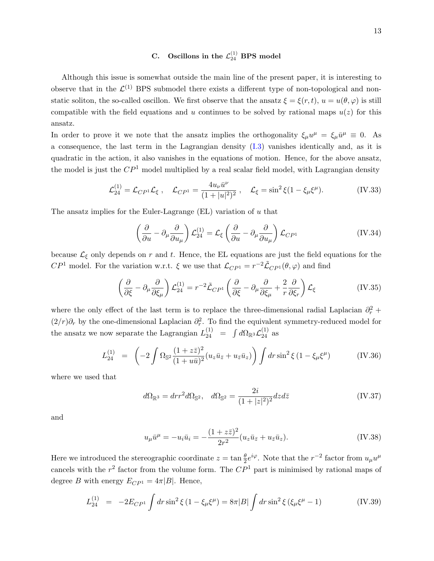# <span id="page-13-0"></span>C. Oscillons in the  $\mathcal{L}_{24}^{(1)}$  BPS model

Although this issue is somewhat outside the main line of the present paper, it is interesting to observe that in the  $\mathcal{L}^{(1)}$  BPS submodel there exists a different type of non-topological and nonstatic soliton, the so-called oscillon. We first observe that the ansatz  $\xi = \xi(r, t)$ ,  $u = u(\theta, \varphi)$  is still compatible with the field equations and u continues to be solved by rational maps  $u(z)$  for this ansatz.

In order to prove it we note that the ansatz implies the orthogonality  $\xi_{\mu}u^{\mu} = \xi_{\mu}\bar{u}^{\mu} \equiv 0$ . As a consequence, the last term in the Lagrangian density [\(I.3\)](#page-1-1) vanishes identically and, as it is quadratic in the action, it also vanishes in the equations of motion. Hence, for the above ansatz, the model is just the  $\mathbb{CP}^1$  model multiplied by a real scalar field model, with Lagrangian density

$$
\mathcal{L}_{24}^{(1)} = \mathcal{L}_{CP^1} \mathcal{L}_{\xi} , \quad \mathcal{L}_{CP^1} = \frac{4u_{\nu}\bar{u}^{\nu}}{(1+|u|^2)^2} , \quad \mathcal{L}_{\xi} = \sin^2 \xi (1 - \xi_{\mu}\xi^{\mu}). \tag{IV.33}
$$

The ansatz implies for the Euler-Lagrange  $(EL)$  variation of u that

$$
\left(\frac{\partial}{\partial u} - \partial_{\mu} \frac{\partial}{\partial u_{\mu}}\right) \mathcal{L}_{24}^{(1)} = \mathcal{L}_{\xi} \left(\frac{\partial}{\partial u} - \partial_{\mu} \frac{\partial}{\partial u_{\mu}}\right) \mathcal{L}_{CP^1}
$$
 (IV.34)

because  $\mathcal{L}_{\xi}$  only depends on r and t. Hence, the EL equations are just the field equations for the  $CP<sup>1</sup>$  model. For the variation w.r.t.  $\xi$  we use that  $\mathcal{L}_{CP<sup>1</sup>} = r^{-2} \tilde{\mathcal{L}}_{CP<sup>1</sup>}(\theta, \varphi)$  and find

$$
\left(\frac{\partial}{\partial \xi} - \partial_{\mu} \frac{\partial}{\partial \xi_{\mu}}\right) \mathcal{L}_{24}^{(1)} = r^{-2} \tilde{\mathcal{L}}_{CP^1} \left(\frac{\partial}{\partial \xi} - \partial_{\mu} \frac{\partial}{\partial \xi_{\mu}} + \frac{2}{r} \frac{\partial}{\partial \xi_r}\right) \mathcal{L}_{\xi}
$$
\n(IV.35)

where the only effect of the last term is to replace the three-dimensional radial Laplacian  $\partial_r^2$  +  $(2/r)\partial_r$  by the one-dimensional Laplacian  $\partial_r^2$ . To find the equivalent symmetry-reduced model for the ansatz we now separate the Lagrangian  $L_{24}^{(1)} = \int d\Omega_{\mathbb{R}^3} \mathcal{L}_{24}^{(1)}$  as

$$
L_{24}^{(1)} = \left(-2 \int \Omega_{\mathbb{S}^2} \frac{(1+z\bar{z})^2}{(1+u\bar{u})^2} (u_z \bar{u}_{\bar{z}} + u_{\bar{z}} \bar{u}_z)\right) \int dr \sin^2 \xi \left(1 - \xi_\mu \xi^\mu\right) \tag{IV.36}
$$

where we used that

$$
d\Omega_{\mathbb{R}^3} = dr r^2 d\Omega_{\mathbb{S}^2}, \quad d\Omega_{\mathbb{S}^2} = \frac{2i}{(1+|z|^2)^2} dz d\overline{z}
$$
 (IV.37)

and

$$
u_{\mu}\bar{u}^{\mu} = -u_{i}\bar{u}_{i} = -\frac{(1+z\bar{z})^{2}}{2r^{2}}(u_{z}\bar{u}_{\bar{z}} + u_{\bar{z}}\bar{u}_{z}).
$$
 (IV.38)

Here we introduced the stereographic coordinate  $z = \tan \frac{\theta}{2} e^{i\varphi}$ . Note that the  $r^{-2}$  factor from  $u_{\mu}u^{\mu}$ cancels with the  $r^2$  factor from the volume form. The  $\mathbb{CP}^1$  part is minimised by rational maps of degree B with energy  $E_{CP<sup>1</sup>} = 4\pi|B|$ . Hence,

$$
L_{24}^{(1)} = -2E_{CP^1} \int dr \sin^2 \xi \left(1 - \xi_\mu \xi^\mu\right) = 8\pi |B| \int dr \sin^2 \xi \left(\xi_\mu \xi^\mu - 1\right) \tag{IV.39}
$$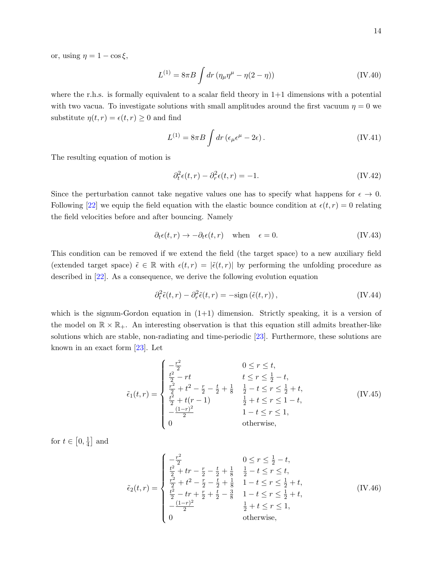or, using  $\eta = 1 - \cos \xi$ ,

$$
L^{(1)} = 8\pi B \int dr \left(\eta_{\mu}\eta^{\mu} - \eta(2-\eta)\right)
$$
 (IV.40)

where the r.h.s. is formally equivalent to a scalar field theory in  $1+1$  dimensions with a potential with two vacua. To investigate solutions with small amplitudes around the first vacuum  $\eta = 0$  we substitute  $\eta(t,r) = \epsilon(t,r) \geq 0$  and find

$$
L^{(1)} = 8\pi B \int dr \left(\epsilon_{\mu}\epsilon^{\mu} - 2\epsilon\right). \tag{IV.41}
$$

The resulting equation of motion is

$$
\partial_t^2 \epsilon(t, r) - \partial_r^2 \epsilon(t, r) = -1. \tag{IV.42}
$$

Since the perturbation cannot take negative values one has to specify what happens for  $\epsilon \to 0$ . Following [\[22\]](#page-26-6) we equip the field equation with the elastic bounce condition at  $\epsilon(t, r) = 0$  relating the field velocities before and after bouncing. Namely

$$
\partial_t \epsilon(t, r) \to -\partial_t \epsilon(t, r) \quad \text{when} \quad \epsilon = 0. \tag{IV.43}
$$

This condition can be removed if we extend the field (the target space) to a new auxiliary field (extended target space)  $\tilde{\epsilon} \in \mathbb{R}$  with  $\epsilon(t, r) = |\tilde{\epsilon}(t, r)|$  by performing the unfolding procedure as described in [\[22\]](#page-26-6). As a consequence, we derive the following evolution equation

$$
\partial_t^2 \tilde{\epsilon}(t, r) - \partial_r^2 \tilde{\epsilon}(t, r) = -\text{sign}\left(\tilde{\epsilon}(t, r)\right),\tag{IV.44}
$$

which is the signum-Gordon equation in  $(1+1)$  dimension. Strictly speaking, it is a version of the model on  $\mathbb{R} \times \mathbb{R}_+$ . An interesting observation is that this equation still admits breather-like solutions which are stable, non-radiating and time-periodic [\[23\]](#page-26-7). Furthermore, these solutions are known in an exact form  $[23]$ . Let

$$
\tilde{\epsilon}_{1}(t,r) = \begin{cases}\n-\frac{r^{2}}{2} & 0 \leq r \leq t, \\
\frac{t^{2}}{2} - rt & t \leq r \leq \frac{1}{2} - t, \\
\frac{r^{2}}{2} + t^{2} - \frac{r}{2} - \frac{t}{2} + \frac{1}{8} & \frac{1}{2} - t \leq r \leq \frac{1}{2} + t, \\
\frac{t^{2}}{2} + t(r - 1) & \frac{1}{2} + t \leq r \leq 1 - t, \\
-\frac{(1-r)^{2}}{2} & 1 - t \leq r \leq 1, \\
0 & \text{otherwise,} \n\end{cases}
$$
\n(IV.45)

for  $t \in \left[0, \frac{1}{4}\right]$  $\frac{1}{4}$  and

$$
\tilde{\epsilon}_{2}(t,r) = \begin{cases}\n-\frac{r^{2}}{2} & 0 \leq r \leq \frac{1}{2} - t, \\
\frac{t^{2}}{2} + tr - \frac{r}{2} - \frac{t}{2} + \frac{1}{8} & \frac{1}{2} - t \leq r \leq t, \\
\frac{r^{2}}{2} + t^{2} - \frac{r}{2} - \frac{t}{2} + \frac{1}{8} & 1 - t \leq r \leq \frac{1}{2} + t, \\
\frac{t^{2}}{2} - tr + \frac{r}{2} + \frac{t}{2} - \frac{3}{8} & 1 - t \leq r \leq \frac{1}{2} + t, \\
-\frac{(1-r)^{2}}{2} & \frac{1}{2} + t \leq r \leq 1, \\
0 & \text{otherwise,} \n\end{cases}
$$
\n(IV.46)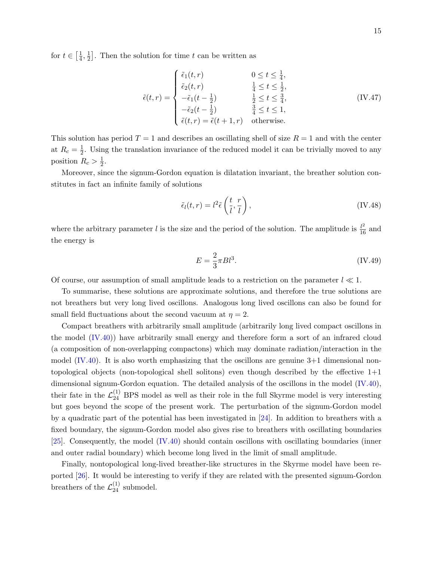for  $t \in \left[\frac{1}{4}\right]$  $\frac{1}{4}, \frac{1}{2}$  $\frac{1}{2}$ . Then the solution for time t can be written as

$$
\tilde{\epsilon}(t,r) = \begin{cases}\n\tilde{\epsilon}_1(t,r) & 0 \le t \le \frac{1}{4}, \\
\tilde{\epsilon}_2(t,r) & \frac{1}{4} \le t \le \frac{1}{2}, \\
-\tilde{\epsilon}_1(t-\frac{1}{2}) & \frac{1}{2} \le t \le \frac{3}{4}, \\
-\tilde{\epsilon}_2(t-\frac{1}{2}) & \frac{3}{4} \le t \le 1, \\
\tilde{\epsilon}(t,r) = \tilde{\epsilon}(t+1,r) & \text{otherwise.} \n\end{cases}
$$
\n(IV.47)

This solution has period  $T = 1$  and describes an oscillating shell of size  $R = 1$  and with the center at  $R_c = \frac{1}{2}$  $\frac{1}{2}$ . Using the translation invariance of the reduced model it can be trivially moved to any position  $R_c > \frac{1}{2}$  $\frac{1}{2}$ .

Moreover, since the signum-Gordon equation is dilatation invariant, the breather solution constitutes in fact an infinite family of solutions

$$
\tilde{\epsilon}_l(t,r) = l^2 \tilde{\epsilon}\left(\frac{t}{l},\frac{r}{l}\right),\tag{IV.48}
$$

where the arbitrary parameter l is the size and the period of the solution. The amplitude is  $\frac{l^2}{16}$  and the energy is

<span id="page-15-2"></span>
$$
E = \frac{2}{3}\pi B l^3. \tag{IV.49}
$$

Of course, our assumption of small amplitude leads to a restriction on the parameter  $l \ll 1$ .

To summarise, these solutions are approximate solutions, and therefore the true solutions are not breathers but very long lived oscillons. Analogous long lived oscillons can also be found for small field fluctuations about the second vacuum at  $\eta = 2$ .

Compact breathers with arbitrarily small amplitude (arbitrarily long lived compact oscillons in the model [\(IV.40\)](#page-13-0)) have arbitrarily small energy and therefore form a sort of an infrared cloud (a composition of non-overlapping compactons) which may dominate radiation/interaction in the model  $(IV.40)$ . It is also worth emphasizing that the oscillons are genuine  $3+1$  dimensional nontopological objects (non-topological shell solitons) even though described by the effective 1+1 dimensional signum-Gordon equation. The detailed analysis of the oscillons in the model [\(IV.40\)](#page-13-0), their fate in the  $\mathcal{L}_{24}^{(1)}$  BPS model as well as their role in the full Skyrme model is very interesting but goes beyond the scope of the present work. The perturbation of the signum-Gordon model by a quadratic part of the potential has been investigated in [\[24\]](#page-26-8). In addition to breathers with a fixed boundary, the signum-Gordon model also gives rise to breathers with oscillating boundaries [\[25\]](#page-26-9). Consequently, the model [\(IV.40\)](#page-13-0) should contain oscillons with oscillating boundaries (inner and outer radial boundary) which become long lived in the limit of small amplitude.

<span id="page-15-1"></span><span id="page-15-0"></span>Finally, nontopological long-lived breather-like structures in the Skyrme model have been reported [\[26\]](#page-26-10). It would be interesting to verify if they are related with the presented signum-Gordon breathers of the  $\mathcal{L}_{24}^{(1)}$  submodel.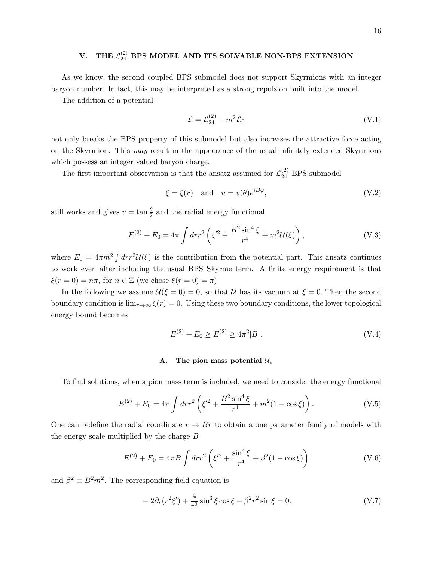# V. THE  $\mathcal{L}_{24}^{(2)}$  BPS MODEL AND ITS SOLVABLE NON-BPS EXTENSION

As we know, the second coupled BPS submodel does not support Skyrmions with an integer baryon number. In fact, this may be interpreted as a strong repulsion built into the model.

The addition of a potential

$$
\mathcal{L} = \mathcal{L}_{24}^{(2)} + m^2 \mathcal{L}_0 \tag{V.1}
$$

not only breaks the BPS property of this submodel but also increases the attractive force acting on the Skyrmion. This may result in the appearance of the usual infinitely extended Skyrmions which possess an integer valued baryon charge.

The first important observation is that the ansatz assumed for  $\mathcal{L}_{24}^{(2)}$  BPS submodel

$$
\xi = \xi(r) \quad \text{and} \quad u = v(\theta)e^{iB\varphi},\tag{V.2}
$$

still works and gives  $v = \tan \frac{\theta}{2}$  and the radial energy functional

$$
E^{(2)} + E_0 = 4\pi \int dr r^2 \left( \xi'^2 + \frac{B^2 \sin^4 \xi}{r^4} + m^2 \mathcal{U}(\xi) \right), \tag{V.3}
$$

where  $E_0 = 4\pi m^2 \int dr r^2 U(\xi)$  is the contribution from the potential part. This ansatz continues to work even after including the usual BPS Skyrme term. A finite energy requirement is that  $\xi(r=0) = n\pi$ , for  $n \in \mathbb{Z}$  (we chose  $\xi(r=0) = \pi$ ).

In the following we assume  $\mathcal{U}(\xi = 0) = 0$ , so that U has its vacuum at  $\xi = 0$ . Then the second boundary condition is  $\lim_{r\to\infty} \xi(r) = 0$ . Using these two boundary conditions, the lower topological energy bound becomes

$$
E^{(2)} + E_0 \ge E^{(2)} \ge 4\pi^2 |B|.
$$
 (V.4)

#### A. The pion mass potential  $\mathcal{U}_{\pi}$

To find solutions, when a pion mass term is included, we need to consider the energy functional

$$
E^{(2)} + E_0 = 4\pi \int dr r^2 \left( \xi'^2 + \frac{B^2 \sin^4 \xi}{r^4} + m^2 (1 - \cos \xi) \right). \tag{V.5}
$$

One can redefine the radial coordinate  $r \to Br$  to obtain a one parameter family of models with the energy scale multiplied by the charge  $B$ 

$$
E^{(2)} + E_0 = 4\pi B \int dr r^2 \left( \xi'^2 + \frac{\sin^4 \xi}{r^4} + \beta^2 (1 - \cos \xi) \right)
$$
 (V.6)

and  $\beta^2 \equiv B^2 m^2$ . The corresponding field equation is

$$
-2\partial_r(r^2\xi') + \frac{4}{r^2}\sin^3\xi\cos\xi + \beta^2r^2\sin\xi = 0.
$$
 (V.7)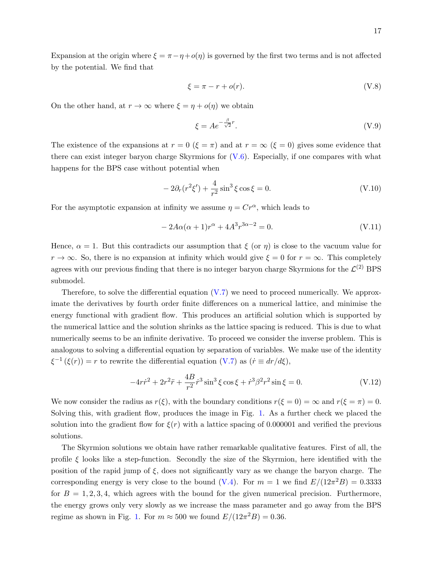Expansion at the origin where  $\xi = \pi - \eta + o(\eta)$  is governed by the first two terms and is not affected by the potential. We find that

$$
\xi = \pi - r + o(r). \tag{V.8}
$$

On the other hand, at  $r \to \infty$  where  $\xi = \eta + o(\eta)$  we obtain

$$
\xi = Ae^{-\frac{\beta}{\sqrt{2}}r}.\tag{V.9}
$$

The existence of the expansions at  $r = 0$  ( $\xi = \pi$ ) and at  $r = \infty$  ( $\xi = 0$ ) gives some evidence that there can exist integer baryon charge Skyrmions for  $(V.6)$ . Especially, if one compares with what happens for the BPS case without potential when

$$
-2\partial_r(r^2\xi') + \frac{4}{r^2}\sin^3\xi\cos\xi = 0.
$$
 (V.10)

<span id="page-17-0"></span>For the asymptotic expansion at infinity we assume  $\eta = Cr^{\alpha}$ , which leads to

$$
-2A\alpha(\alpha+1)r^{\alpha} + 4A^3r^{3\alpha-2} = 0.
$$
 (V.11)

Hence,  $\alpha = 1$ . But this contradicts our assumption that  $\xi$  (or  $\eta$ ) is close to the vacuum value for  $r \to \infty$ . So, there is no expansion at infinity which would give  $\xi = 0$  for  $r = \infty$ . This completely agrees with our previous finding that there is no integer baryon charge Skyrmions for the  $\mathcal{L}^{(2)}$  BPS submodel.

Therefore, to solve the differential equation [\(V.7\)](#page-15-1) we need to proceed numerically. We approximate the derivatives by fourth order finite differences on a numerical lattice, and minimise the energy functional with gradient flow. This produces an artificial solution which is supported by the numerical lattice and the solution shrinks as the lattice spacing is reduced. This is due to what numerically seems to be an infinite derivative. To proceed we consider the inverse problem. This is analogous to solving a differential equation by separation of variables. We make use of the identity  $\xi^{-1}(\xi(r)) = r$  to rewrite the differential equation [\(V.7\)](#page-15-1) as  $(\dot{r} \equiv dr/d\xi)$ ,

$$
-4r\dot{r}^2 + 2r^2\ddot{r} + \frac{4B}{r^2}\dot{r}^3\sin^3\xi\cos\xi + \dot{r}^3\beta^2r^2\sin\xi = 0.
$$
 (V.12)

<span id="page-17-1"></span>We now consider the radius as  $r(\xi)$ , with the boundary conditions  $r(\xi = 0) = \infty$  and  $r(\xi = \pi) = 0$ . Solving this, with gradient flow, produces the image in Fig. [1.](#page-17-0) As a further check we placed the solution into the gradient flow for  $\xi(r)$  with a lattice spacing of 0.000001 and verified the previous solutions.

The Skyrmion solutions we obtain have rather remarkable qualitative features. First of all, the profile  $\xi$  looks like a step-function. Secondly the size of the Skyrmion, here identified with the position of the rapid jump of  $\xi$ , does not significantly vary as we change the baryon charge. The corresponding energy is very close to the bound [\(V.4\)](#page-15-2). For  $m = 1$  we find  $E/(12\pi^2B) = 0.3333$ for  $B = 1, 2, 3, 4$ , which agrees with the bound for the given numerical precision. Furthermore, the energy grows only very slowly as we increase the mass parameter and go away from the BPS regime as shown in Fig. [1.](#page-17-0) For  $m \approx 500$  we found  $E/(12\pi^2 B) = 0.36$ .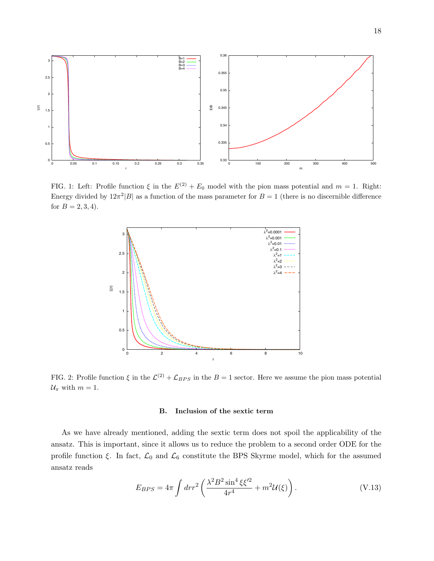

<span id="page-18-2"></span>FIG. 1: Left: Profile function  $\xi$  in the  $E^{(2)} + E_0$  model with the pion mass potential and  $m = 1$ . Right: Energy divided by  $12\pi^2|B|$  as a function of the mass parameter for  $B=1$  (there is no discernible difference for  $B = 2, 3, 4$ .

<span id="page-18-1"></span>

FIG. 2: Profile function  $\xi$  in the  $\mathcal{L}^{(2)} + \mathcal{L}_{BPS}$  in the  $B = 1$  sector. Here we assume the pion mass potential  $U_{\pi}$  with  $m = 1$ .

#### <span id="page-18-0"></span>B. Inclusion of the sextic term

As we have already mentioned, adding the sextic term does not spoil the applicability of the ansatz. This is important, since it allows us to reduce the problem to a second order ODE for the profile function  $\xi$ . In fact,  $\mathcal{L}_0$  and  $\mathcal{L}_6$  constitute the BPS Skyrme model, which for the assumed ansatz reads

$$
E_{BPS} = 4\pi \int dr r^2 \left( \frac{\lambda^2 B^2 \sin^4 \xi \xi'^2}{4r^4} + m^2 \mathcal{U}(\xi) \right). \tag{V.13}
$$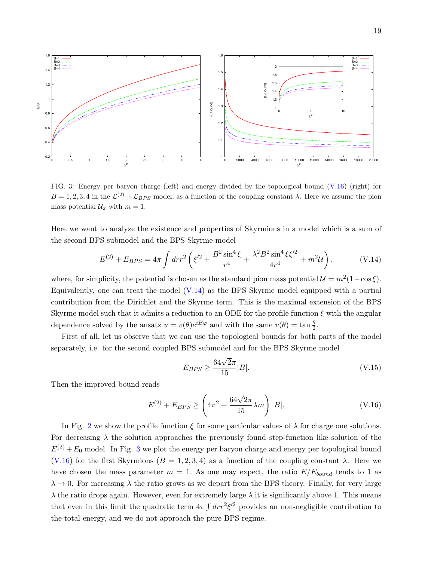

FIG. 3: Energy per baryon charge (left) and energy divided by the topological bound [\(V.16\)](#page-18-0) (right) for  $B = 1, 2, 3, 4$  in the  $\mathcal{L}^{(2)} + \mathcal{L}_{BPS}$  model, as a function of the coupling constant  $\lambda$ . Here we assume the pion mass potential  $\mathcal{U}_{\pi}$  with  $m = 1$ .

Here we want to analyze the existence and properties of Skyrmions in a model which is a sum of the second BPS submodel and the BPS Skyrme model

$$
E^{(2)} + E_{BPS} = 4\pi \int dr r^2 \left( \xi'^2 + \frac{B^2 \sin^4 \xi}{r^4} + \frac{\lambda^2 B^2 \sin^4 \xi \xi'^2}{4r^4} + m^2 \mathcal{U} \right), \tag{V.14}
$$

where, for simplicity, the potential is chosen as the standard pion mass potential  $\mathcal{U} = m^2(1 - \cos \xi)$ . Equivalently, one can treat the model  $(V.14)$  as the BPS Skyrme model equipped with a partial contribution from the Dirichlet and the Skyrme term. This is the maximal extension of the BPS Skyrme model such that it admits a reduction to an ODE for the profile function  $\xi$  with the angular dependence solved by the ansatz  $u = v(\theta)e^{iB\varphi}$  and with the same  $v(\theta) = \tan \frac{\theta}{2}$ .

First of all, let us observe that we can use the topological bounds for both parts of the model separately, i.e. for the second coupled BPS submodel and for the BPS Skyrme model

$$
E_{BPS} \ge \frac{64\sqrt{2}\pi}{15} |B|.
$$
 (V.15)

Then the improved bound reads

<span id="page-19-0"></span>
$$
E^{(2)} + E_{BPS} \ge \left(4\pi^2 + \frac{64\sqrt{2}\pi}{15}\lambda m\right)|B|.\tag{V.16}
$$

In Fig. [2](#page-17-1) we show the profile function  $\xi$  for some particular values of  $\lambda$  for charge one solutions. For decreasing  $\lambda$  the solution approaches the previously found step-function like solution of the  $E^{(2)} + E_0$  model. In Fig. [3](#page-18-2) we plot the energy per baryon charge and energy per topological bound [\(V.16\)](#page-18-0) for the first Skyrmions  $(B = 1, 2, 3, 4)$  as a function of the coupling constant  $\lambda$ . Here we have chosen the mass parameter  $m = 1$ . As one may expect, the ratio  $E/E_{bound}$  tends to 1 as  $\lambda \to 0$ . For increasing  $\lambda$  the ratio grows as we depart from the BPS theory. Finally, for very large  $\lambda$  the ratio drops again. However, even for extremely large  $\lambda$  it is significantly above 1. This means that even in this limit the quadratic term  $4\pi \int dr r^2 \xi'^2$  provides an non-negligible contribution to the total energy, and we do not approach the pure BPS regime.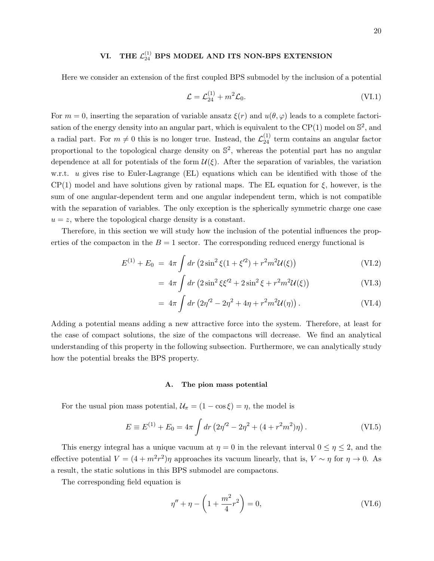# VI. THE  $\mathcal{L}_{24}^{(1)}$  BPS MODEL AND ITS NON-BPS EXTENSION

Here we consider an extension of the first coupled BPS submodel by the inclusion of a potential

$$
\mathcal{L} = \mathcal{L}_{24}^{(1)} + m^2 \mathcal{L}_0.
$$
 (VI.1)

<span id="page-20-0"></span>For  $m = 0$ , inserting the separation of variable ansatz  $\xi(r)$  and  $u(\theta, \varphi)$  leads to a complete factorisation of the energy density into an angular part, which is equivalent to the CP(1) model on  $\mathbb{S}^2$ , and a radial part. For  $m \neq 0$  this is no longer true. Instead, the  $\mathcal{L}_{24}^{(1)}$  term contains an angular factor proportional to the topological charge density on  $\mathbb{S}^2$ , whereas the potential part has no angular dependence at all for potentials of the form  $\mathcal{U}(\xi)$ . After the separation of variables, the variation w.r.t. u gives rise to Euler-Lagrange (EL) equations which can be identified with those of the  $CP(1)$  model and have solutions given by rational maps. The EL equation for  $\xi$ , however, is the sum of one angular-dependent term and one angular independent term, which is not compatible with the separation of variables. The only exception is the spherically symmetric charge one case  $u = z$ , where the topological charge density is a constant.

Therefore, in this section we will study how the inclusion of the potential influences the properties of the compacton in the  $B = 1$  sector. The corresponding reduced energy functional is

$$
E^{(1)} + E_0 = 4\pi \int dr \left( 2\sin^2 \xi (1 + \xi^2) + r^2 m^2 \mathcal{U}(\xi) \right)
$$
 (VI.2)

$$
= 4\pi \int dr \left( 2\sin^2 \xi \xi'^2 + 2\sin^2 \xi + r^2 m^2 \mathcal{U}(\xi) \right)
$$
 (VI.3)

$$
= 4\pi \int dr \left(2\eta'^2 - 2\eta^2 + 4\eta + r^2 m^2 \mathcal{U}(\eta)\right). \tag{VI.4}
$$

Adding a potential means adding a new attractive force into the system. Therefore, at least for the case of compact solutions, the size of the compactons will decrease. We find an analytical understanding of this property in the following subsection. Furthermore, we can analytically study how the potential breaks the BPS property.

#### <span id="page-20-1"></span>A. The pion mass potential

For the usual pion mass potential,  $\mathcal{U}_{\pi} = (1 - \cos \xi) = \eta$ , the model is

$$
E \equiv E^{(1)} + E_0 = 4\pi \int dr \left(2\eta'^2 - 2\eta^2 + (4 + r^2 m^2)\eta\right). \tag{VI.5}
$$

This energy integral has a unique vacuum at  $\eta = 0$  in the relevant interval  $0 \leq \eta \leq 2$ , and the effective potential  $V = (4 + m^2r^2)\eta$  approaches its vacuum linearly, that is,  $V \sim \eta$  for  $\eta \to 0$ . As a result, the static solutions in this BPS submodel are compactons.

The corresponding field equation is

$$
\eta'' + \eta - \left(1 + \frac{m^2}{4}r^2\right) = 0,\tag{VI.6}
$$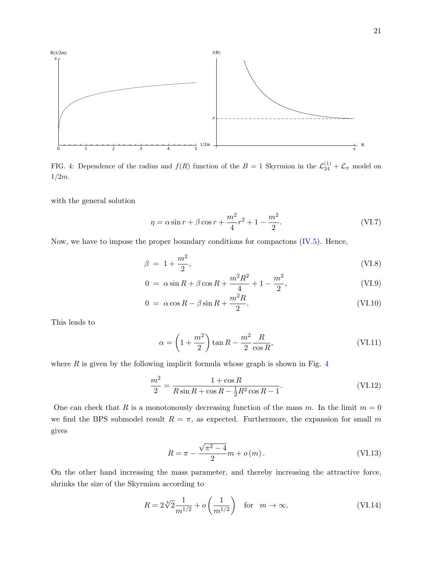

FIG. 4: Dependence of the radius and  $f(R)$  function of the  $B = 1$  Skyrmion in the  $\mathcal{L}_{24}^{(1)} + \mathcal{L}_{\pi}$  model on  $1/2m$ .

with the general solution

$$
\eta = \alpha \sin r + \beta \cos r + \frac{m^2}{4}r^2 + 1 - \frac{m^2}{2}.
$$
 (VI.7)

Now, we have to impose the proper boundary conditions for compactons  $(IV.5)$ . Hence,

$$
\beta = 1 + \frac{m^2}{2},\tag{VI.8}
$$

$$
0 = \alpha \sin R + \beta \cos R + \frac{m^2 R^2}{4} + 1 - \frac{m^2}{2},
$$
 (VI.9)

$$
0 = \alpha \cos R - \beta \sin R + \frac{m^2 R}{2}.
$$
 (VI.10)

This leads to

$$
\alpha = \left(1 + \frac{m^2}{2}\right) \tan R - \frac{m^2}{2} \frac{R}{\cos R},\tag{VI.11}
$$

where  $R$  is given by the following implicit formula whose graph is shown in Fig.  $4$ 

$$
\frac{m^2}{2} = \frac{1 + \cos R}{R \sin R + \cos R - \frac{1}{2}R^2 \cos R - 1}.
$$
 (VI.12)

One can check that R is a monotonously decreasing function of the mass m. In the limit  $m = 0$ we find the BPS submodel result  $R = \pi$ , as expected. Furthermore, the expansion for small m gives

$$
R = \pi - \frac{\sqrt{\pi^2 - 4}}{2}m + o(m). \tag{VI.13}
$$

On the other hand increasing the mass parameter, and thereby increasing the attractive force, shrinks the size of the Skyrmion according to

$$
R = 2\sqrt[4]{2}\frac{1}{m^{1/2}} + o\left(\frac{1}{m^{1/2}}\right) \text{ for } m \to \infty.
$$
 (VI.14)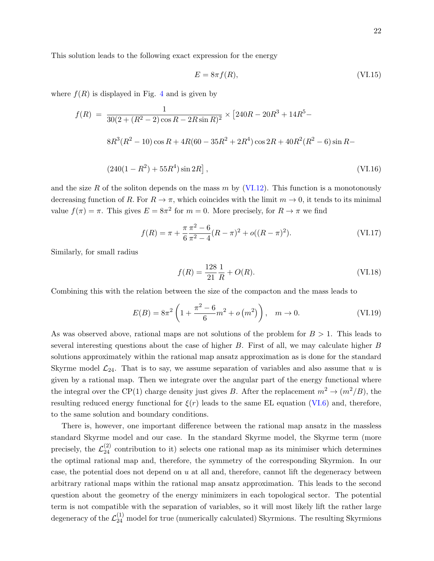This solution leads to the following exact expression for the energy

$$
E = 8\pi f(R),\tag{VI.15}
$$

where  $f(R)$  is displayed in Fig. [4](#page-20-0) and is given by

$$
f(R) = \frac{1}{30(2 + (R^2 - 2)\cos R - 2R\sin R)^2} \times [240R - 20R^3 + 14R^5 -
$$
  

$$
8R^3(R^2 - 10)\cos R + 4R(60 - 35R^2 + 2R^4)\cos 2R + 40R^2(R^2 - 6)\sin R -
$$
  

$$
(240(1 - R^2) + 55R^4)\sin 2R],
$$
 (VI.16)

and the size R of the soliton depends on the mass  $m$  by [\(VI.12\)](#page-20-1). This function is a monotonously decreasing function of R. For  $R \to \pi$ , which coincides with the limit  $m \to 0$ , it tends to its minimal value  $f(\pi) = \pi$ . This gives  $E = 8\pi^2$  for  $m = 0$ . More precisely, for  $R \to \pi$  we find

$$
f(R) = \pi + \frac{\pi \pi^2 - 6}{6 \pi^2 - 4} (R - \pi)^2 + o((R - \pi)^2).
$$
 (VI.17)

Similarly, for small radius

$$
f(R) = \frac{128}{21} \frac{1}{R} + O(R). \tag{VI.18}
$$

Combining this with the relation between the size of the compacton and the mass leads to

$$
E(B) = 8\pi^2 \left( 1 + \frac{\pi^2 - 6}{6} m^2 + o(m^2) \right), \quad m \to 0.
$$
 (VI.19)

As was observed above, rational maps are not solutions of the problem for  $B > 1$ . This leads to several interesting questions about the case of higher  $B$ . First of all, we may calculate higher  $B$ solutions approximately within the rational map ansatz approximation as is done for the standard Skyrme model  $\mathcal{L}_{24}$ . That is to say, we assume separation of variables and also assume that u is given by a rational map. Then we integrate over the angular part of the energy functional where the integral over the CP(1) charge density just gives B. After the replacement  $m^2 \to (m^2/B)$ , the resulting reduced energy functional for  $\xi(r)$  leads to the same EL equation [\(VI.6\)](#page-19-0) and, therefore, to the same solution and boundary conditions.

There is, however, one important difference between the rational map ansatz in the massless standard Skyrme model and our case. In the standard Skyrme model, the Skyrme term (more precisely, the  $\mathcal{L}_{24}^{(2)}$  contribution to it) selects one rational map as its minimiser which determines the optimal rational map and, therefore, the symmetry of the corresponding Skyrmion. In our case, the potential does not depend on  $u$  at all and, therefore, cannot lift the degeneracy between arbitrary rational maps within the rational map ansatz approximation. This leads to the second question about the geometry of the energy minimizers in each topological sector. The potential term is not compatible with the separation of variables, so it will most likely lift the rather large degeneracy of the  $\mathcal{L}_{24}^{(1)}$  model for true (numerically calculated) Skyrmions. The resulting Skyrmions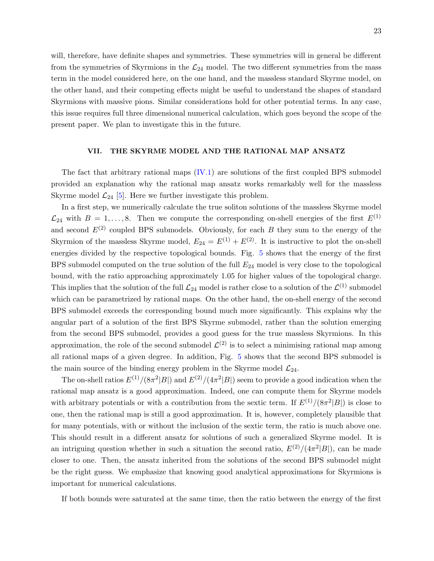will, therefore, have definite shapes and symmetries. These symmetries will in general be different from the symmetries of Skyrmions in the  $\mathcal{L}_{24}$  model. The two different symmetries from the mass term in the model considered here, on the one hand, and the massless standard Skyrme model, on the other hand, and their competing effects might be useful to understand the shapes of standard Skyrmions with massive pions. Similar considerations hold for other potential terms. In any case, this issue requires full three dimensional numerical calculation, which goes beyond the scope of the present paper. We plan to investigate this in the future.

#### VII. THE SKYRME MODEL AND THE RATIONAL MAP ANSATZ

<span id="page-23-0"></span>The fact that arbitrary rational maps [\(IV.1\)](#page-7-2) are solutions of the first coupled BPS submodel provided an explanation why the rational map ansatz works remarkably well for the massless Skyrme model  $\mathcal{L}_{24}$  [\[5\]](#page-25-4). Here we further investigate this problem.

In a first step, we numerically calculate the true soliton solutions of the massless Skyrme model  $\mathcal{L}_{24}$  with  $B = 1, \ldots, 8$ . Then we compute the corresponding on-shell energies of the first  $E^{(1)}$ and second  $E^{(2)}$  coupled BPS submodels. Obviously, for each B they sum to the energy of the Skyrmion of the massless Skyrme model,  $E_{24} = E^{(1)} + E^{(2)}$ . It is instructive to plot the on-shell energies divided by the respective topological bounds. Fig. [5](#page-23-0) shows that the energy of the first BPS submodel computed on the true solution of the full  $E_{24}$  model is very close to the topological bound, with the ratio approaching approximately 1.05 for higher values of the topological charge. This implies that the solution of the full  $\mathcal{L}_{24}$  model is rather close to a solution of the  $\mathcal{L}^{(1)}$  submodel which can be parametrized by rational maps. On the other hand, the on-shell energy of the second BPS submodel exceeds the corresponding bound much more significantly. This explains why the angular part of a solution of the first BPS Skyrme submodel, rather than the solution emerging from the second BPS submodel, provides a good guess for the true massless Skyrmions. In this approximation, the role of the second submodel  $\mathcal{L}^{(2)}$  is to select a minimising rational map among all rational maps of a given degree. In addition, Fig. [5](#page-23-0) shows that the second BPS submodel is the main source of the binding energy problem in the Skyrme model  $\mathcal{L}_{24}$ .

The on-shell ratios  $E^{(1)}/(8\pi^2|B|)$  and  $E^{(2)}/(4\pi^2|B|)$  seem to provide a good indication when the rational map ansatz is a good approximation. Indeed, one can compute them for Skyrme models with arbitrary potentials or with a contribution from the sextic term. If  $E^{(1)}/(8\pi^2|B|)$  is close to one, then the rational map is still a good approximation. It is, however, completely plausible that for many potentials, with or without the inclusion of the sextic term, the ratio is much above one. This should result in a different ansatz for solutions of such a generalized Skyrme model. It is an intriguing question whether in such a situation the second ratio,  $E^{(2)}/(4\pi^2|B|)$ , can be made closer to one. Then, the ansatz inherited from the solutions of the second BPS submodel might be the right guess. We emphasize that knowing good analytical approximations for Skyrmions is important for numerical calculations.

If both bounds were saturated at the same time, then the ratio between the energy of the first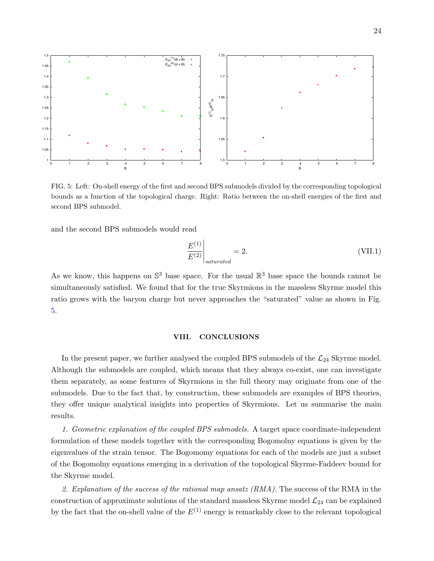

FIG. 5: Left: On-shell energy of the first and second BPS submodels divided by the corresponding topological bounds as a function of the topological charge. Right: Ratio between the on-shell energies of the first and second BPS submodel.

and the second BPS submodels would read

$$
\left. \frac{E^{(1)}}{E^{(2)}} \right|_{saturated} = 2. \tag{VII.1}
$$

As we know, this happens on  $\mathbb{S}^3$  base space. For the usual  $\mathbb{R}^3$  base space the bounds cannot be simultaneously satisfied. We found that for the true Skyrmions in the massless Skyrme model this ratio grows with the baryon charge but never approaches the "saturated" value as shown in Fig. [5.](#page-23-0)

#### VIII. CONCLUSIONS

In the present paper, we further analysed the coupled BPS submodels of the  $\mathcal{L}_{24}$  Skyrme model. Although the submodels are coupled, which means that they always co-exist, one can investigate them separately, as some features of Skyrmions in the full theory may originate from one of the submodels. Due to the fact that, by construction, these submodels are examples of BPS theories, they offer unique analytical insights into properties of Skyrmions. Let us summarise the main results.

1. Geometric explanation of the coupled BPS submodels. A target space coordinate-independent formulation of these models together with the corresponding Bogomolny equations is given by the eigenvalues of the strain tensor. The Bogomomy equations for each of the models are just a subset of the Bogomolny equations emerging in a derivation of the topological Skyrme-Faddeev bound for the Skyrme model.

2. Explanation of the success of the rational map ansatz  $(RMA)$ . The success of the RMA in the construction of approximate solutions of the standard massless Skyrme model  $\mathcal{L}_{24}$  can be explained by the fact that the on-shell value of the  $E^{(1)}$  energy is remarkably close to the relevant topological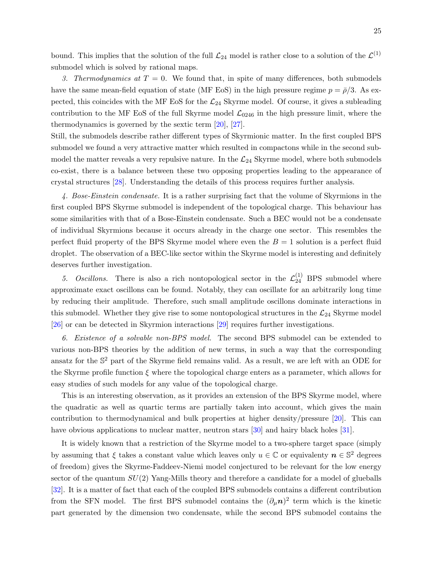bound. This implies that the solution of the full  $\mathcal{L}_{24}$  model is rather close to a solution of the  $\mathcal{L}^{(1)}$ submodel which is solved by rational maps.

3. Thermodynamics at  $T = 0$ . We found that, in spite of many differences, both submodels have the same mean-field equation of state (MF EoS) in the high pressure regime  $p = \bar{p}/3$ . As expected, this coincides with the MF EoS for the  $\mathcal{L}_{24}$  Skyrme model. Of course, it gives a subleading contribution to the MF EoS of the full Skyrme model  $\mathcal{L}_{0246}$  in the high pressure limit, where the thermodynamics is governed by the sextic term [\[20\]](#page-26-4), [\[27\]](#page-26-11).

Still, the submodels describe rather different types of Skyrmionic matter. In the first coupled BPS submodel we found a very attractive matter which resulted in compactons while in the second submodel the matter reveals a very repulsive nature. In the  $\mathcal{L}_{24}$  Skyrme model, where both submodels co-exist, there is a balance between these two opposing properties leading to the appearance of crystal structures [\[28\]](#page-26-12). Understanding the details of this process requires further analysis.

4. Bose-Einstein condensate. It is a rather surprising fact that the volume of Skyrmions in the first coupled BPS Skyrme submodel is independent of the topological charge. This behaviour has some similarities with that of a Bose-Einstein condensate. Such a BEC would not be a condensate of individual Skyrmions because it occurs already in the charge one sector. This resembles the perfect fluid property of the BPS Skyrme model where even the  $B = 1$  solution is a perfect fluid droplet. The observation of a BEC-like sector within the Skyrme model is interesting and definitely deserves further investigation.

<span id="page-25-2"></span><span id="page-25-1"></span><span id="page-25-0"></span>5. Oscillons. There is also a rich nontopological sector in the  $\mathcal{L}_{24}^{(1)}$  BPS submodel where approximate exact oscillons can be found. Notably, they can oscillate for an arbitrarily long time by reducing their amplitude. Therefore, such small amplitude oscillons dominate interactions in this submodel. Whether they give rise to some nontopological structures in the  $\mathcal{L}_{24}$  Skyrme model [\[26\]](#page-26-10) or can be detected in Skyrmion interactions [\[29\]](#page-26-13) requires further investigations.

<span id="page-25-5"></span><span id="page-25-4"></span><span id="page-25-3"></span>6. Existence of a solvable non-BPS model. The second BPS submodel can be extended to various non-BPS theories by the addition of new terms, in such a way that the corresponding ansatz for the  $\mathbb{S}^2$  part of the Skyrme field remains valid. As a result, we are left with an ODE for the Skyrme profile function  $\xi$  where the topological charge enters as a parameter, which allows for easy studies of such models for any value of the topological charge.

<span id="page-25-9"></span><span id="page-25-8"></span><span id="page-25-7"></span><span id="page-25-6"></span>This is an interesting observation, as it provides an extension of the BPS Skyrme model, where the quadratic as well as quartic terms are partially taken into account, which gives the main contribution to thermodynamical and bulk properties at higher density/pressure [\[20\]](#page-26-4). This can have obvious applications to nuclear matter, neutron stars [\[30\]](#page-26-14) and hairy black holes [\[31\]](#page-26-15).

<span id="page-25-14"></span><span id="page-25-13"></span><span id="page-25-12"></span><span id="page-25-11"></span><span id="page-25-10"></span>It is widely known that a restriction of the Skyrme model to a two-sphere target space (simply by assuming that  $\xi$  takes a constant value which leaves only  $u \in \mathbb{C}$  or equivalenty  $n \in \mathbb{S}^2$  degrees of freedom) gives the Skyrme-Faddeev-Niemi model conjectured to be relevant for the low energy sector of the quantum  $SU(2)$  Yang-Mills theory and therefore a candidate for a model of glueballs [\[32\]](#page-26-16). It is a matter of fact that each of the coupled BPS submodels contains a different contribution from the SFN model. The first BPS submodel contains the  $(\partial_{\mu}n)^2$  term which is the kinetic part generated by the dimension two condensate, while the second BPS submodel contains the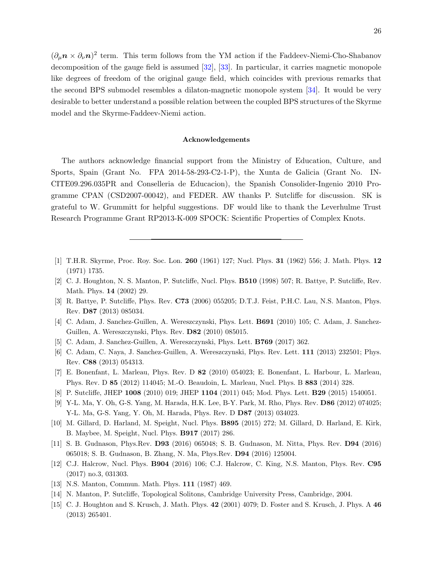<span id="page-26-4"></span><span id="page-26-3"></span><span id="page-26-2"></span><span id="page-26-1"></span><span id="page-26-0"></span> $(\partial_{\mu} \mathbf{n} \times \partial_{\nu} \mathbf{n})^2$  term. This term follows from the YM action if the Faddeev-Niemi-Cho-Shabanov decomposition of the gauge field is assumed [\[32\]](#page-26-16), [\[33\]](#page-26-17). In particular, it carries magnetic monopole like degrees of freedom of the original gauge field, which coincides with previous remarks that the second BPS submodel resembles a dilaton-magnetic monopole system [\[34\]](#page-26-18). It would be very desirable to better understand a possible relation between the coupled BPS structures of the Skyrme model and the Skyrme-Faddeev-Niemi action.

#### Acknowledgements

<span id="page-26-12"></span><span id="page-26-11"></span><span id="page-26-10"></span><span id="page-26-9"></span><span id="page-26-8"></span><span id="page-26-7"></span><span id="page-26-6"></span><span id="page-26-5"></span>The authors acknowledge financial support from the Ministry of Education, Culture, and Sports, Spain (Grant No. FPA 2014-58-293-C2-1-P), the Xunta de Galicia (Grant No. IN-CITE09.296.035PR and Conselleria de Educacion), the Spanish Consolider-Ingenio 2010 Programme CPAN (CSD2007-00042), and FEDER. AW thanks P. Sutcliffe for discussion. SK is grateful to W. Grummitt for helpful suggestions. DF would like to thank the Leverhulme Trust Research Programme Grant RP2013-K-009 SPOCK: Scientific Properties of Complex Knots.

- <span id="page-26-14"></span><span id="page-26-13"></span>[1] T.H.R. Skyrme, Proc. Roy. Soc. Lon. 260 (1961) 127; Nucl. Phys. 31 (1962) 556; J. Math. Phys. 12 (1971) 1735.
- <span id="page-26-15"></span>[2] C. J. Houghton, N. S. Manton, P. Sutcliffe, Nucl. Phys. B510 (1998) 507; R. Battye, P. Sutcliffe, Rev. Math. Phys. 14 (2002) 29.
- [3] R. Battye, P. Sutcliffe, Phys. Rev. C73 (2006) 055205; D.T.J. Feist, P.H.C. Lau, N.S. Manton, Phys. Rev. D87 (2013) 085034.
- <span id="page-26-16"></span>[4] C. Adam, J. Sanchez-Guillen, A. Wereszczynski, Phys. Lett. B691 (2010) 105; C. Adam, J. Sanchez-Guillen, A. Wereszczynski, Phys. Rev. D82 (2010) 085015.
- <span id="page-26-18"></span><span id="page-26-17"></span>[5] C. Adam, J. Sanchez-Guillen, A. Wereszczynski, Phys. Lett. B769 (2017) 362.
- [6] C. Adam, C. Naya, J. Sanchez-Guillen, A. Wereszczynski, Phys. Rev. Lett. 111 (2013) 232501; Phys. Rev. C88 (2013) 054313.
- [7] E. Bonenfant, L. Marleau, Phys. Rev. D 82 (2010) 054023; E. Bonenfant, L. Harbour, L. Marleau, Phys. Rev. D 85 (2012) 114045; M.-O. Beaudoin, L. Marleau, Nucl. Phys. B 883 (2014) 328.
- [8] P. Sutcliffe, JHEP 1008 (2010) 019; JHEP 1104 (2011) 045; Mod. Phys. Lett. **B29** (2015) 1540051.
- [9] Y-L. Ma, Y. Oh, G-S. Yang, M. Harada, H.K. Lee, B-Y. Park, M. Rho, Phys. Rev. D86 (2012) 074025; Y-L. Ma, G-S. Yang, Y. Oh, M. Harada, Phys. Rev. D D87 (2013) 034023.
- [10] M. Gillard, D. Harland, M. Speight, Nucl. Phys. B895 (2015) 272; M. Gillard, D. Harland, E. Kirk, B. Maybee, M. Speight, Nucl. Phys. B917 (2017) 286.
- [11] S. B. Gudnason, Phys.Rev. D93 (2016) 065048; S. B. Gudnason, M. Nitta, Phys. Rev. D94 (2016) 065018; S. B. Gudnason, B. Zhang, N. Ma, Phys.Rev. D94 (2016) 125004.
- [12] C.J. Halcrow, Nucl. Phys. B904 (2016) 106; C.J. Halcrow, C. King, N.S. Manton, Phys. Rev. C95 (2017) no.3, 031303.
- [13] N.S. Manton, Commun. Math. Phys. 111 (1987) 469.
- [14] N. Manton, P. Sutcliffe, Topological Solitons, Cambridge University Press, Cambridge, 2004.
- [15] C. J. Houghton and S. Krusch, J. Math. Phys. 42 (2001) 4079; D. Foster and S. Krusch, J. Phys. A 46 (2013) 265401.